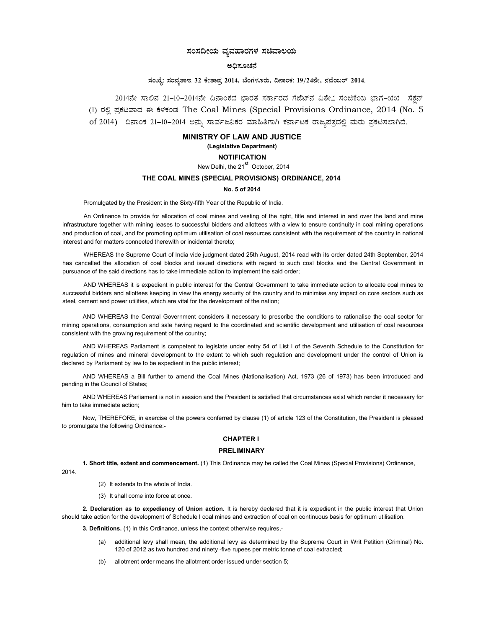# ಸಂಸದೀಯ ವ್ಯವಹಾರಗಳ ಸಚಿವಾಲಯ

# ಅಧಿಸೂಚನೆ

# ಸಂಖ್ಯೆ: ಸಂವ್ನಶಾಇ 32 ಕೇಶಾಪ್ರ 2014, ಬೆಂಗಳೂರು, ದಿನಾಂಕ: 19/24ನೇ, ನವೆಂಬರ್ 2014.

2014ನೇ ಸಾಲಿನ 21-10-2014ನೇ ದಿನಾಂಕದ ಭಾರತ ಸರ್ಕಾರದ ಗೆಜೆಟ್ನ ವಿಶೇ೭ ಸಂಚಿಕೆಯ ಭಾಗ-ಋಋ ಸೆಕ್ಷನ್ (1) ರಲ್ಲಿ ಪ್ರಕಟವಾದ ಈ ಕೆಳಕಂಡ The Coal Mines (Special Provisions Ordinance, 2014 (No. 5 of 2014) ದಿನಾಂಕ 21-10-2014 ಅನ್ನು ಸಾರ್ವಜನಿಕರ ಮಾಹಿತಿಗಾಗಿ ಕರ್ನಾಟಕ ರಾಜ್ಯಪತ್ರದಲ್ಲಿ ಮರು ಪ್ರಕಟಿಸಲಾಗಿದೆ.

#### MINISTRY OF LAW AND JUSTICE

# (Legislative Department)

# **NOTIFICATION**

New Delhi, the 21<sup>st</sup> October, 2014

# THE COAL MINES (SPECIAL PROVISIONS) ORDINANCE, 2014

#### No. 5 of 2014

Promulgated by the President in the Sixty-fifth Year of the Republic of India.

An Ordinance to provide for allocation of coal mines and vesting of the right, title and interest in and over the land and mine infrastructure together with mining leases to successful bidders and allottees with a view to ensure continuity in coal mining operations and production of coal, and for promoting optimum utilisation of coal resources consistent with the requirement of the country in national interest and for matters connected therewith or incidental thereto;

WHEREAS the Supreme Court of India vide judgment dated 25th August, 2014 read with its order dated 24th September, 2014 has cancelled the allocation of coal blocks and issued directions with regard to such coal blocks and the Central Government in pursuance of the said directions has to take immediate action to implement the said order;

AND WHEREAS it is expedient in public interest for the Central Government to take immediate action to allocate coal mines to successful bidders and allottees keeping in view the energy security of the country and to minimise any impact on core sectors such as steel, cement and power utilities, which are vital for the development of the nation;

AND WHEREAS the Central Government considers it necessary to prescribe the conditions to rationalise the coal sector for mining operations, consumption and sale having regard to the coordinated and scientific development and utilisation of coal resources consistent with the growing requirement of the country;

AND WHEREAS Parliament is competent to legislate under entry 54 of List I of the Seventh Schedule to the Constitution for regulation of mines and mineral development to the extent to which such regulation and development under the control of Union is declared by Parliament by law to be expedient in the public interest;

AND WHEREAS a Bill further to amend the Coal Mines (Nationalisation) Act, 1973 (26 of 1973) has been introduced and pending in the Council of States;

AND WHEREAS Parliament is not in session and the President is satisfied that circumstances exist which render it necessary for him to take immediate action;

Now, THEREFORE, in exercise of the powers conferred by clause (1) of article 123 of the Constitution, the President is pleased to promulgate the following Ordinance:-

# CHAPTER I

## PRELIMINARY

1. Short title, extent and commencement. (1) This Ordinance may be called the Coal Mines (Special Provisions) Ordinance, 2014.

- (2) It extends to the whole of India.
- (3) It shall come into force at once.

2. Declaration as to expediency of Union action. It is hereby declared that it is expedient in the public interest that Union should take action for the development of Schedule I coal mines and extraction of coal on continuous basis for optimum utilisation.

3. Definitions. (1) In this Ordinance, unless the context otherwise requires,-

- (a) additional levy shall mean, the additional levy as determined by the Supreme Court in Writ Petition (Criminal) No. 120 of 2012 as two hundred and ninety -five rupees per metric tonne of coal extracted;
- (b) allotment order means the allotment order issued under section 5;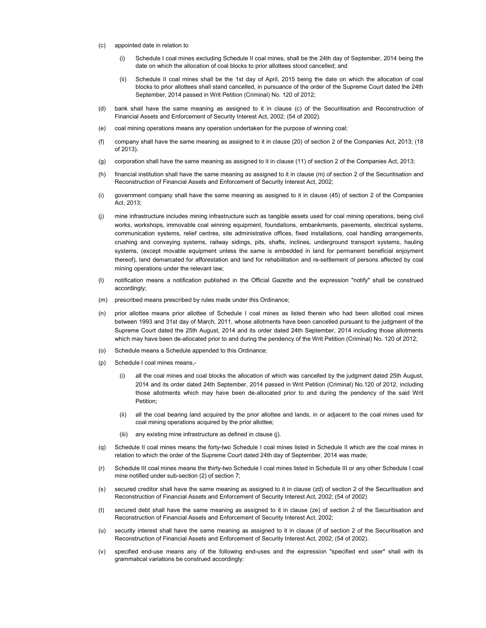- (c) appointed date in relation to
	- (i) Schedule I coal mines excluding Schedule II coal mines, shall be the 24th day of September, 2014 being the date on which the allocation of coal blocks to prior allottees stood cancelled; and
	- (ii) Schedule II coal mines shall be the 1st day of April, 2015 being the date on which the allocation of coal blocks to prior allottees shall stand cancelled, in pursuance of the order of the Supreme Court dated the 24th September, 2014 passed in Writ Petition (Criminal) No. 120 of 2012;
- (d) bank shall have the same meaning as assigned to it in clause (c) of the Securitisation and Reconstruction of Financial Assets and Enforcement of Security Interest Act, 2002; (54 of 2002).
- (e) coal mining operations means any operation undertaken for the purpose of winning coal;
- (f) company shall have the same meaning as assigned to it in clause (20) of section 2 of the Companies Act, 2013; (18 of 2013).
- (g) corporation shall have the same meaning as assigned to it in clause (11) of section 2 of the Companies Act, 2013;
- (h) financial institution shall have the same meaning as assigned to it in clause (m) of section 2 of the Securitisation and Reconstruction of Financial Assets and Enforcement of Security Interest Act, 2002;
- (i) government company shall have the same meaning as assigned to it in clause (45) of section 2 of the Companies Act, 2013;
- (j) mine infrastructure includes mining infrastructure such as tangible assets used for coal mining operations, being civil works, workshops, immovable coal winning equipment, foundations, embankments, pavements, electrical systems, communication systems, relief centres, site administrative offices, fixed installations, coal handling arrangements, crushing and conveying systems, railway sidings, pits, shafts, inclines, underground transport systems, hauling systems, (except movable equipment unless the same is embedded in land for permanent beneficial enjoyment thereof), land demarcated for afforestation and land for rehabilitation and re-settlement of persons affected by coal mining operations under the relevant law;
- (l) notification means a notification published in the Official Gazette and the expression "notify" shall be construed accordingly;
- (m) prescribed means prescribed by rules made under this Ordinance;
- (n) prior allottee means prior allottee of Schedule I coal mines as listed therein who had been allotted coal mines between 1993 and 31st day of March, 2011, whose allotments have been cancelled pursuant to the judgment of the Supreme Court dated the 25th August, 2014 and its order dated 24th September, 2014 including those allotments which may have been de-allocated prior to and during the pendency of the Writ Petition (Criminal) No. 120 of 2012;
- (o) Schedule means a Schedule appended to this Ordinance;
- (p) Schedule I coal mines means,-
	- (i) all the coal mines and coal blocks the allocation of which was cancelled by the judgment dated 25th August, 2014 and its order dated 24th September, 2014 passed in Writ Petition (Criminal) No.120 of 2012, including those allotments which may have been de-allocated prior to and during the pendency of the said Writ Petition;
	- (ii) all the coal bearing land acquired by the prior allottee and lands, in or adjacent to the coal mines used for coal mining operations acquired by the prior allottee;
	- (iii) any existing mine infrastructure as defined in clause (j).
- (q) Schedule II coal mines means the forty-two Schedule I coal mines listed in Schedule II which are the coal mines in relation to which the order of the Supreme Court dated 24th day of September, 2014 was made;
- (r) Schedule III coal mines means the thirty-two Schedule I coal mines listed in Schedule III or any other Schedule I coal mine notified under sub-section (2) of section 7;
- (s) secured creditor shall have the same meaning as assigned to it in clause (zd) of section 2 of the Securitisation and Reconstruction of Financial Assets and Enforcement of Security Interest Act, 2002; (54 of 2002)
- (t) secured debt shall have the same meaning as assigned to it in clause (ze) of section 2 of the Securitisation and Reconstruction of Financial Assets and Enforcement of Security Interest Act, 2002;
- (u) security interest shall have the same meaning as assigned to it in clause (if of section 2 of the Securitisation and Reconstruction of Financial Assets and Enforcement of Security Interest Act, 2002; (54 of 2002).
- (v) specified end-use means any of the following end-uses and the expression "specified end user" shall with its grammatical variations be construed accordingly: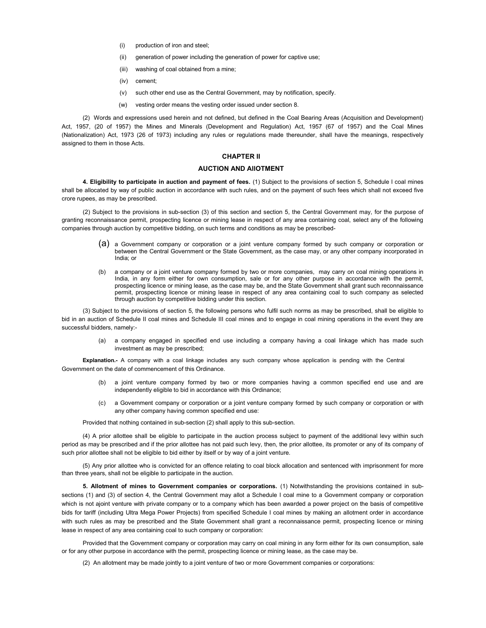- (i) production of iron and steel;
- (ii) generation of power including the generation of power for captive use;
- (iii) washing of coal obtained from a mine;
- (iv) cement;
- (v) such other end use as the Central Government, may by notification, specify.
- (w) vesting order means the vesting order issued under section 8.

(2) Words and expressions used herein and not defined, but defined in the Coal Bearing Areas (Acquisition and Development) Act, 1957, (20 of 1957) the Mines and Minerals (Development and Regulation) Act, 1957 (67 of 1957) and the Coal Mines (Nationalization) Act, 1973 (26 of 1973) including any rules or regulations made thereunder, shall have the meanings, respectively assigned to them in those Acts.

# CHAPTER II

#### AUCTION AND AllOTMENT

4. Eligibility to participate in auction and payment of fees. (1) Subject to the provisions of section 5, Schedule I coal mines shall be allocated by way of public auction in accordance with such rules, and on the payment of such fees which shall not exceed five crore rupees, as may be prescribed.

(2) Subject to the provisions in sub-section (3) of this section and section 5, the Central Government may, for the purpose of granting reconnaissance permit, prospecting licence or mining lease in respect of any area containing coal, select any of the following companies through auction by competitive bidding, on such terms and conditions as may be prescribed-

- (a) a Government company or corporation or a joint venture company formed by such company or corporation or between the Central Government or the State Government, as the case may, or any other company incorporated in India; or
- (b) a company or a joint venture company formed by two or more companies, may carry on coal mining operations in India, in any form either for own consumption, sale or for any other purpose in accordance with the permit, prospecting licence or mining lease, as the case may be, and the State Government shall grant such reconnaissance permit, prospecting licence or mining lease in respect of any area containing coal to such company as selected through auction by competitive bidding under this section.

(3) Subject to the provisions of section 5, the following persons who fulfil such norms as may be prescribed, shall be eligible to bid in an auction of Schedule II coal mines and Schedule III coal mines and to engage in coal mining operations in the event they are successful bidders, namely:-

> (a) a company engaged in specified end use including a company having a coal linkage which has made such investment as may be prescribed;

Explanation.- A company with a coal linkage includes any such company whose application is pending with the Central Government on the date of commencement of this Ordinance.

- (b) a joint venture company formed by two or more companies having a common specified end use and are independently eligible to bid in accordance with this Ordinance;
- (c) a Government company or corporation or a joint venture company formed by such company or corporation or with any other company having common specified end use:

Provided that nothing contained in sub-section (2) shall apply to this sub-section.

(4) A prior allottee shall be eligible to participate in the auction process subject to payment of the additional levy within such period as may be prescribed and if the prior allottee has not paid such levy, then, the prior allottee, its promoter or any of its company of such prior allottee shall not be eligible to bid either by itself or by way of a joint venture.

(5) Any prior allottee who is convicted for an offence relating to coal block allocation and sentenced with imprisonment for more than three years, shall not be eligible to participate in the auction.

5. Allotment of mines to Government companies or corporations. (1) Notwithstanding the provisions contained in subsections (1) and (3) of section 4, the Central Government may allot a Schedule I coal mine to a Government company or corporation which is not ajoint venture with private company or to a company which has been awarded a power project on the basis of competitive bids for tariff (including Ultra Mega Power Projects) from specified Schedule I coal mines by making an allotment order in accordance with such rules as may be prescribed and the State Government shall grant a reconnaissance permit, prospecting licence or mining lease in respect of any area containing coal to such company or corporation:

Provided that the Government company or corporation may carry on coal mining in any form either for its own consumption, sale or for any other purpose in accordance with the permit, prospecting licence or mining lease, as the case may be.

(2) An allotment may be made jointly to a joint venture of two or more Government companies or corporations: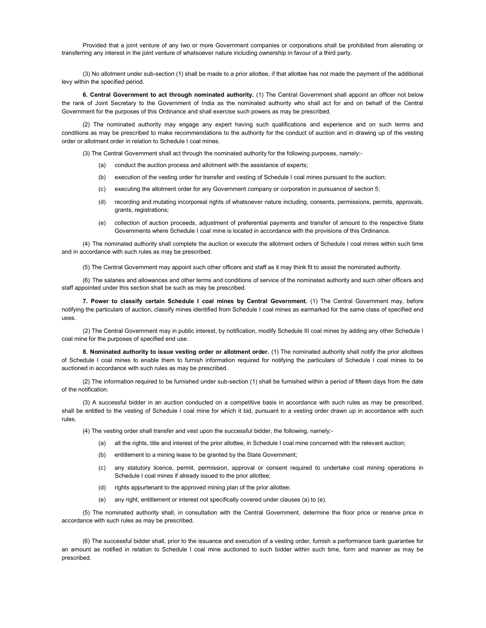Provided that a joint venture of any two or more Government companies or corporations shall be prohibited from alienating or transferring any interest in the joint venture of whatsoever nature including ownership in favour of a third party.

(3) No allotment under sub-section (1) shall be made to a prior allottee, if that allottee has not made the payment of the additional levy within the specified period.

6. Central Government to act through nominated authority. (1) The Central Government shall appoint an officer not below the rank of Joint Secretary to the Government of India as the nominated authority who shall act for and on behalf of the Central Government for the purposes of this Ordinance and shall exercise such powers as may be prescribed.

(2) The nominated authority may engage any expert having such qualifications and experience and on such terms and conditions as may be prescribed to make recommendations to the authority for the conduct of auction and in drawing up of the vesting order or allotment order in relation to Schedule I coal mines.

(3) The Central Government shall act through the nominated authority for the following purposes, namely:-

- (a) conduct the auction process and allotment with the assistance of experts;
- (b) execution of the vesting order for transfer and vesting of Schedule I coal mines pursuant to the auction;
- (c) executing the allotment order for any Government company or corporation in pursuance of section 5;
- (d) recording and mutating incorporeal rights of whatsoever nature including, consents, permissions, permits, approvals, grants, registrations;
- (e) collection of auction proceeds, adjustment of preferential payments and transfer of amount to the respective State Governments where Schedule I coal mine is located in accordance with the provisions of this Ordinance.

(4) The nominated authority shall complete the auction or execute the allotment orders of Schedule I coal mines within such time and in accordance with such rules as may be prescribed.

(5) The Central Government may appoint such other officers and staff as it may think fit to assist the nominated authority.

(6) The salaries and allowances and other terms and conditions of service of the nominated authority and such other officers and staff appointed under this section shall be such as may be prescribed.

7. Power to classify certain Schedule I coal mines by Central Government. (1) The Central Government may, before notifying the particulars of auction, classify mines identified from Schedule I coal mines as earmarked for the same class of specified end uses.

(2) The Central Government may in public interest, by notification, modify Schedule III coal mines by adding any other Schedule I coal mine for the purposes of specified end use.

8. Nominated authority to issue vesting order or allotment order. (1) The nominated authority shall notify the prior allottees of Schedule I coal mines to enable them to furnish information required for notifying the particulars of Schedule I coal mines to be auctioned in accordance with such rules as may be prescribed.

(2) The information required to be furnished under sub-section (1) shall be furnished within a period of fifteen days from the date of the notification.

(3) A successful bidder in an auction conducted on a competitive basis in accordance with such rules as may be prescribed, shall be entitled to the vesting of Schedule I coal mine for which it bid, pursuant to a vesting order drawn up in accordance with such rules.

(4) The vesting order shall transfer and vest upon the successful bidder, the following, namely:-

- (a) all the rights, title and interest of the prior allottee, in Schedule I coal mine concerned with the relevant auction;
- (b) entitlement to a mining lease to be granted by the State Government;
- (c) any statutory licence, permit, permission, approval or consent required to undertake coal mining operations in Schedule I coal mines if already issued to the prior allottee;
- (d) rights appurtenant to the approved mining plan of the prior allottee;
- any right, entitlement or interest not specifically covered under clauses (a) to (e).

(5) The nominated authority shall, in consultation with the Central Government, determine the floor price or reserve price in accordance with such rules as may be prescribed.

(6) The successful bidder shall, prior to the issuance and execution of a vesting order, furnish a performance bank guarantee for an amount as notified in relation to Schedule I coal mine auctioned to such bidder within such time, form and manner as may be prescribed.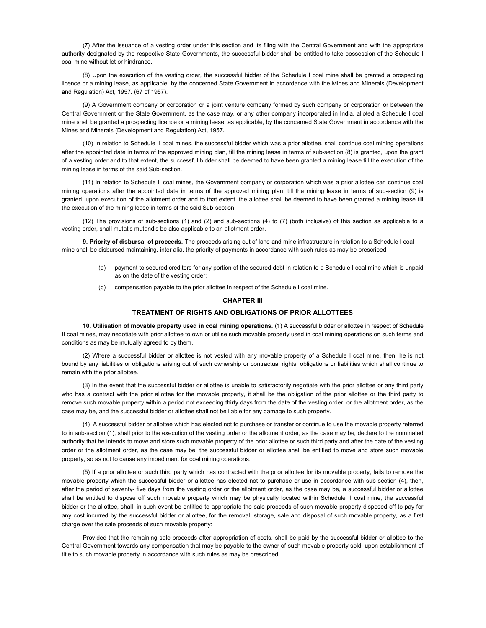(7) After the issuance of a vesting order under this section and its filing with the Central Government and with the appropriate authority designated by the respective State Governments, the successful bidder shall be entitled to take possession of the Schedule I coal mine without let or hindrance.

(8) Upon the execution of the vesting order, the successful bidder of the Schedule I coal mine shall be granted a prospecting licence or a mining lease, as applicable, by the concerned State Government in accordance with the Mines and Minerals (Development and Regulation) Act, 1957. (67 of 1957).

(9) A Government company or corporation or a joint venture company formed by such company or corporation or between the Central Government or the State Government, as the case may, or any other company incorporated in India, alloted a Schedule I coal mine shall be granted a prospecting licence or a mining lease, as applicable, by the concerned State Government in accordance with the Mines and Minerals (Development and Regulation) Act, 1957.

(10) In relation to Schedule II coal mines, the successful bidder which was a prior allottee, shall continue coal mining operations after the appointed date in terms of the approved mining plan, till the mining lease in terms of sub-section (8) is granted, upon the grant of a vesting order and to that extent, the successful bidder shall be deemed to have been granted a mining lease till the execution of the mining lease in terms of the said Sub-section.

(11) In relation to Schedule II coal mines, the Government company or corporation which was a prior allottee can continue coal mining operations after the appointed date in terms of the approved mining plan, till the mining lease in terms of sub-section (9) is granted, upon execution of the allotment order and to that extent, the allottee shall be deemed to have been granted a mining lease till the execution of the mining lease in terms of the said Sub-section.

(12) The provisions of sub-sections (1) and (2) and sub-sections (4) to (7) (both inclusive) of this section as applicable to a vesting order, shall mutatis mutandis be also applicable to an allotment order.

9. Priority of disbursal of proceeds. The proceeds arising out of land and mine infrastructure in relation to a Schedule I coal mine shall be disbursed maintaining, inter alia, the priority of payments in accordance with such rules as may be prescribed-

- (a) payment to secured creditors for any portion of the secured debt in relation to a Schedule I coal mine which is unpaid as on the date of the vesting order;
- (b) compensation payable to the prior allottee in respect of the Schedule I coal mine.

#### CHAPTER III

# TREATMENT OF RIGHTS AND OBLIGATIONS OF PRIOR ALLOTTEES

10. Utilisation of movable property used in coal mining operations. (1) A successful bidder or allottee in respect of Schedule II coal mines, may negotiate with prior allottee to own or utilise such movable property used in coal mining operations on such terms and conditions as may be mutually agreed to by them.

(2) Where a successful bidder or allottee is not vested with any movable property of a Schedule I coal mine, then, he is not bound by any liabilities or obligations arising out of such ownership or contractual rights, obligations or liabilities which shall continue to remain with the prior allottee.

(3) In the event that the successful bidder or allottee is unable to satisfactorily negotiate with the prior allottee or any third party who has a contract with the prior allottee for the movable property, it shall be the obligation of the prior allottee or the third party to remove such movable property within a period not exceeding thirty days from the date of the vesting order, or the allotment order, as the case may be, and the successful bidder or allottee shall not be liable for any damage to such property.

(4) A successful bidder or allottee which has elected not to purchase or transfer or continue to use the movable property referred to in sub-section (1), shall prior to the execution of the vesting order or the allotment order, as the case may be, declare to the nominated authority that he intends to move and store such movable property of the prior allottee or such third party and after the date of the vesting order or the allotment order, as the case may be, the successful bidder or allottee shall be entitled to move and store such movable property, so as not to cause any impediment for coal mining operations.

(5) If a prior allottee or such third party which has contracted with the prior allottee for its movable property, fails to remove the movable property which the successful bidder or allottee has elected not to purchase or use in accordance with sub-section (4), then, after the period of seventy- five days from the vesting order or the allotment order, as the case may be, a successful bidder or allottee shall be entitled to dispose off such movable property which may be physically located within Schedule II coal mine, the successful bidder or the allottee, shall, in such event be entitled to appropriate the sale proceeds of such movable property disposed off to pay for any cost incurred by the successful bidder or allottee, for the removal, storage, sale and disposal of such movable property, as a first charge over the sale proceeds of such movable property:

Provided that the remaining sale proceeds after appropriation of costs, shall be paid by the successful bidder or allottee to the Central Government towards any compensation that may be payable to the owner of such movable property sold, upon establishment of title to such movable property in accordance with such rules as may be prescribed: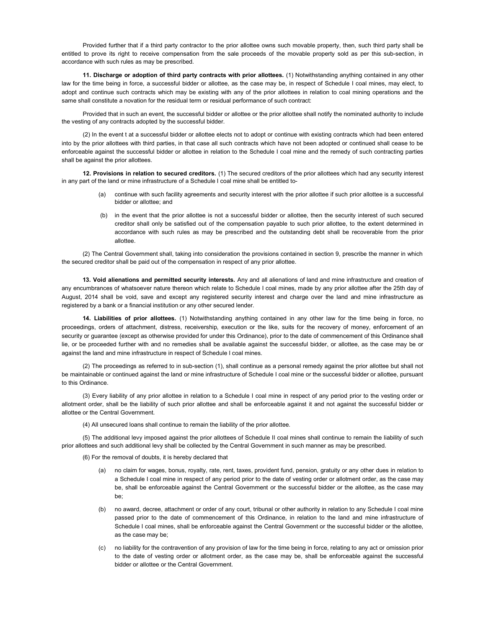Provided further that if a third party contractor to the prior allottee owns such movable property, then, such third party shall be entitled to prove its right to receive compensation from the sale proceeds of the movable property sold as per this sub-section, in accordance with such rules as may be prescribed.

11. Discharge or adoption of third party contracts with prior allottees. (1) Notwithstanding anything contained in any other law for the time being in force, a successful bidder or allottee, as the case may be, in respect of Schedule I coal mines, may elect, to adopt and continue such contracts which may be existing with any of the prior allottees in relation to coal mining operations and the same shall constitute a novation for the residual term or residual performance of such contract:

Provided that in such an event, the successful bidder or allottee or the prior allottee shall notify the nominated authority to include the vesting of any contracts adopted by the successful bidder.

(2) In the event t at a successful bidder or allottee elects not to adopt or continue with existing contracts which had been entered into by the prior allottees with third parties, in that case all such contracts which have not been adopted or continued shall cease to be enforceable against the successful bidder or allottee in relation to the Schedule I coal mine and the remedy of such contracting parties shall be against the prior allottees.

12. Provisions in relation to secured creditors. (1) The secured creditors of the prior allottees which had any security interest in any part of the land or mine infrastructure of a Schedule I coal mine shall be entitled to-

- continue with such facility agreements and security interest with the prior allottee if such prior allottee is a successful bidder or allottee; and
- (b) in the event that the prior allottee is not a successful bidder or allottee, then the security interest of such secured creditor shall only be satisfied out of the compensation payable to such prior allottee, to the extent determined in accordance with such rules as may be prescribed and the outstanding debt shall be recoverable from the prior allottee.

(2) The Central Government shall, taking into consideration the provisions contained in section 9, prescribe the manner in which the secured creditor shall be paid out of the compensation in respect of any prior allottee.

13. Void alienations and permitted security interests. Any and all alienations of land and mine infrastructure and creation of any encumbrances of whatsoever nature thereon which relate to Schedule I coal mines, made by any prior allottee after the 25th day of August, 2014 shall be void, save and except any registered security interest and charge over the land and mine infrastructure as registered by a bank or a financial institution or any other secured lender.

14. Liabilities of prior allottees. (1) Notwithstanding anything contained in any other law for the time being in force, no proceedings, orders of attachment, distress, receivership, execution or the like, suits for the recovery of money, enforcement of an security or guarantee (except as otherwise provided for under this Ordinance), prior to the date of commencement of this Ordinance shall lie, or be proceeded further with and no remedies shall be available against the successful bidder, or allottee, as the case may be or against the land and mine infrastructure in respect of Schedule I coal mines.

(2) The proceedings as referred to in sub-section (1), shall continue as a personal remedy against the prior allottee but shall not be maintainable or continued against the land or mine infrastructure of Schedule I coal mine or the successful bidder or allottee, pursuant to this Ordinance.

(3) Every liability of any prior allottee in relation to a Schedule I coal mine in respect of any period prior to the vesting order or allotment order, shall be the liability of such prior allottee and shall be enforceable against it and not against the successful bidder or allottee or the Central Government.

(4) All unsecured loans shall continue to remain the liability of the prior allottee.

(5) The additional levy imposed against the prior allottees of Schedule II coal mines shall continue to remain the liability of such prior allottees and such additional levy shall be collected by the Central Government in such manner as may be prescribed.

(6) For the removal of doubts, it is hereby declared that

- (a) no claim for wages, bonus, royalty, rate, rent, taxes, provident fund, pension, gratuity or any other dues in relation to a Schedule I coal mine in respect of any period prior to the date of vesting order or allotment order, as the case may be, shall be enforceable against the Central Government or the successful bidder or the allottee, as the case may be;
- (b) no award, decree, attachment or order of any court, tribunal or other authority in relation to any Schedule I coal mine passed prior to the date of commencement of this Ordinance, in relation to the land and mine infrastructure of Schedule I coal mines, shall be enforceable against the Central Government or the successful bidder or the allottee, as the case may be;
- (c) no liability for the contravention of any provision of law for the time being in force, relating to any act or omission prior to the date of vesting order or allotment order, as the case may be, shall be enforceable against the successful bidder or allottee or the Central Government.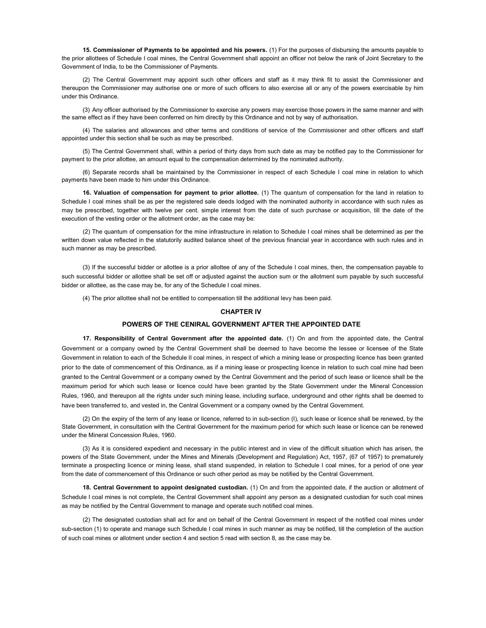15. Commissioner of Payments to be appointed and his powers. (1) For the purposes of disbursing the amounts payable to the prior allottees of Schedule I coal mines, the Central Government shall appoint an officer not below the rank of Joint Secretary to the Government of India, to be the Commissioner of Payments.

(2) The Central Government may appoint such other officers and staff as it may think fit to assist the Commissioner and thereupon the Commissioner may authorise one or more of such officers to also exercise all or any of the powers exercisable by him under this Ordinance.

(3) Any officer authorised by the Commissioner to exercise any powers may exercise those powers in the same manner and with the same effect as if they have been conferred on him directly by this Ordinance and not by way of authorisation.

(4) The salaries and allowances and other terms and conditions of service of the Commissioner and other officers and staff appointed under this section shall be such as may be prescribed.

(5) The Central Government shall, within a period of thirty days from such date as may be notified pay to the Commissioner for payment to the prior allottee, an amount equal to the compensation determined by the nominated authority.

(6) Separate records shall be maintained by the Commissioner in respect of each Schedule I coal mine in relation to which payments have been made to him under this Ordinance.

16. Valuation of compensation for payment to prior allottee. (1) The quantum of compensation for the land in relation to Schedule I coal mines shall be as per the registered sale deeds lodged with the nominated authority in accordance with such rules as may be prescribed, together with twelve per cent. simple interest from the date of such purchase or acquisition, till the date of the execution of the vesting order or the allotment order, as the case may be:

(2) The quantum of compensation for the mine infrastructure in relation to Schedule I coal mines shall be determined as per the written down value reflected in the statutorily audited balance sheet of the previous financial year in accordance with such rules and in such manner as may be prescribed.

(3) If the successful bidder or allottee is a prior allottee of any of the Schedule I coal mines, then, the compensation payable to such successful bidder or allottee shall be set off or adjusted against the auction sum or the allotment sum payable by such successful bidder or allottee, as the case may be, for any of the Schedule I coal mines.

(4) The prior allottee shall not be entitled to compensation till the additional levy has been paid.

#### CHAPTER IV

#### POWERS OF THE CENlRAL GOVERNMENT AFTER THE APPOINTED DATE

17. Responsibility of Central Government after the appointed date. (1) On and from the appointed date, the Central Government or a company owned by the Central Government shall be deemed to have become the lessee or licensee of the State Government in relation to each of the Schedule II coal mines, in respect of which a mining lease or prospecting licence has been granted prior to the date of commencement of this Ordinance, as if a mining lease or prospecting licence in relation to such coal mine had been granted to the Central Government or a company owned by the Central Government and the period of such lease or licence shall be the maximum period for which such lease or licence could have been granted by the State Government under the Mineral Concession Rules, 1960, and thereupon all the rights under such mining lease, including surface, underground and other rights shall be deemed to have been transferred to, and vested in, the Central Government or a company owned by the Central Government.

(2) On the expiry of the term of any lease or licence, referred to in sub-section (I), such lease or licence shall be renewed, by the State Government, in consultation with the Central Government for the maximum period for which such lease or licence can be renewed under the Mineral Concession Rules, 1960.

(3) As it is considered expedient and necessary in the public interest and in view of the difficult situation which has arisen, the powers of the State Government, under the Mines and Minerals (Development and Regulation) Act, 1957, (67 of 1957) to prematurely terminate a prospecting licence or mining lease, shall stand suspended, in relation to Schedule I coal mines, for a period of one year from the date of commencement of this Ordinance or such other period as may be notified by the Central Government.

18. Central Government to appoint designated custodian. (1) On and from the appointed date, if the auction or allotment of Schedule I coal mines is not complete, the Central Government shall appoint any person as a designated custodian for such coal mines as may be notified by the Central Government to manage and operate such notified coal mines.

(2) The designated custodian shall act for and on behalf of the Central Government in respect of the notified coal mines under sub-section (1) to operate and manage such Schedule I coal mines in such manner as may be notified, till the completion of the auction of such coal mines or allotment under section 4 and section 5 read with section 8, as the case may be.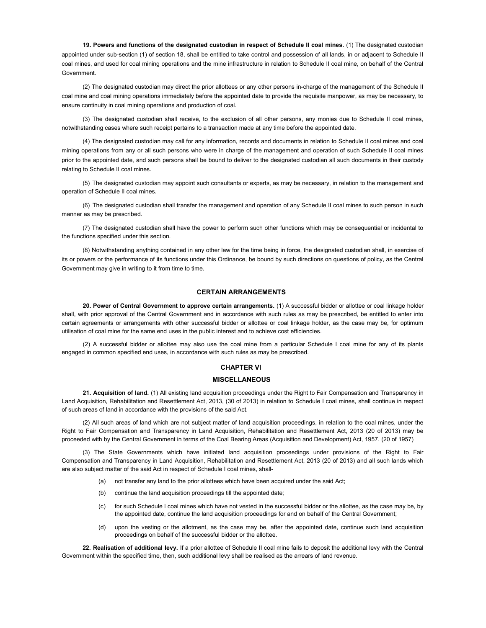19. Powers and functions of the designated custodian in respect of Schedule II coal mines. (1) The designated custodian appointed under sub-section (1) of section 18, shall be entitled to take control and possession of all lands, in or adjacent to Schedule II coal mines, and used for coal mining operations and the mine infrastructure in relation to Schedule II coal mine, on behalf of the Central Government.

(2) The designated custodian may direct the prior allottees or any other persons in-charge of the management of the Schedule II coal mine and coal mining operations immediately before the appointed date to provide the requisite manpower, as may be necessary, to ensure continuity in coal mining operations and production of coal.

(3) The designated custodian shall receive, to the exclusion of all other persons, any monies due to Schedule II coal mines, notwithstanding cases where such receipt pertains to a transaction made at any time before the appointed date.

(4) The designated custodian may call for any information, records and documents in relation to Schedule II coal mines and coal mining operations from any or all such persons who were in charge of the management and operation of such Schedule II coal mines prior to the appointed date, and such persons shall be bound to deliver to the designated custodian all such documents in their custody relating to Schedule II coal mines.

(5) The designated custodian may appoint such consultants or experts, as may be necessary, in relation to the management and operation of Schedule II coal mines.

(6) The designated custodian shall transfer the management and operation of any Schedule II coal mines to such person in such manner as may be prescribed.

(7) The designated custodian shall have the power to perform such other functions which may be consequential or incidental to the functions specified under this section.

(8) Notwithstanding anything contained in any other law for the time being in force, the designated custodian shall, in exercise of its or powers or the performance of its functions under this Ordinance, be bound by such directions on questions of policy, as the Central Government may give in writing to it from time to time.

# CERTAIN ARRANGEMENTS

20. Power of Central Government to approve certain arrangements. (1) A successful bidder or allottee or coal linkage holder shall, with prior approval of the Central Government and in accordance with such rules as may be prescribed, be entitled to enter into certain agreements or arrangements with other successful bidder or allottee or coal linkage holder, as the case may be, for optimum utilisation of coal mine for the same end uses in the public interest and to achieve cost efficiencies.

(2) A successful bidder or allottee may also use the coal mine from a particular Schedule I coal mine for any of its plants engaged in common specified end uses, in accordance with such rules as may be prescribed.

### CHAPTER VI

### **MISCELLANEOUS**

21. Acquisition of land. (1) All existing land acquisition proceedings under the Right to Fair Compensation and Transparency in Land Acquisition, Rehabilitation and Resettlement Act, 2013, (30 of 2013) in relation to Schedule I coal mines, shall continue in respect of such areas of land in accordance with the provisions of the said Act.

(2) All such areas of land which are not subject matter of land acquisition proceedings, in relation to the coal mines, under the Right to Fair Compensation and Transparency in Land Acquisition, Rehabilitation and Resettlement Act, 2013 (20 of 2013) may be proceeded with by the Central Government in terms of the Coal Bearing Areas (Acquisition and Development) Act, 1957. (20 of 1957)

(3) The State Governments which have initiated land acquisition proceedings under provisions of the Right to Fair Compensation and Transparency in Land Acquisition, Rehabilitation and Resettlement Act, 2013 (20 of 2013) and all such lands which are also subject matter of the said Act in respect of Schedule I coal mines, shall-

- (a) not transfer any land to the prior allottees which have been acquired under the said Act;
- (b) continue the land acquisition proceedings till the appointed date;
- (c) for such Schedule I coal mines which have not vested in the successful bidder or the allottee, as the case may be, by the appointed date, continue the land acquisition proceedings for and on behalf of the Central Government;
- (d) upon the vesting or the allotment, as the case may be, after the appointed date, continue such land acquisition proceedings on behalf of the successful bidder or the allottee.

22. Realisation of additional levy. If a prior allottee of Schedule II coal mine fails to deposit the additional levy with the Central Government within the specified time, then, such additional levy shall be realised as the arrears of land revenue.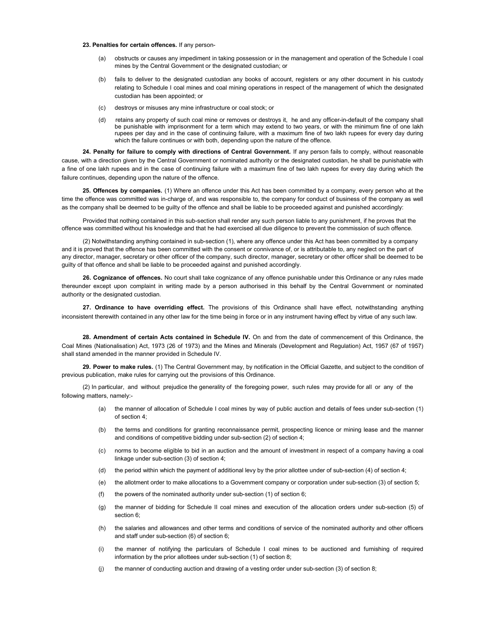#### 23. Penalties for certain offences. If any person-

- (a) obstructs or causes any impediment in taking possession or in the management and operation of the Schedule I coal mines by the Central Government or the designated custodian; or
- (b) fails to deliver to the designated custodian any books of account, registers or any other document in his custody relating to Schedule I coal mines and coal mining operations in respect of the management of which the designated custodian has been appointed; or
- (c) destroys or misuses any mine infrastructure or coal stock; or
- (d) retains any property of such coal mine or removes or destroys it, he and any officer-in-default of the company shall be punishable with imprisonment for a term which may extend to two years, or with the minimum fine of one lakh rupees per day and in the case of continuing failure, with a maximum fine of two lakh rupees for every day during which the failure continues or with both, depending upon the nature of the offence.

24. Penalty for failure to comply with directions of Central Government. If any person fails to comply, without reasonable cause, with a direction given by the Central Government or nominated authority or the designated custodian, he shall be punishable with a fine of one lakh rupees and in the case of continuing failure with a maximum fine of two lakh rupees for every day during which the failure continues, depending upon the nature of the offence.

25. Offences by companies. (1) Where an offence under this Act has been committed by a company, every person who at the time the offence was committed was in-charge of, and was responsible to, the company for conduct of business of the company as well as the company shall be deemed to be guilty of the offence and shall be liable to be proceeded against and punished accordingly:

Provided that nothing contained in this sub-section shall render any such person liable to any punishment, if he proves that the offence was committed without his knowledge and that he had exercised all due diligence to prevent the commission of such offence.

(2) Notwithstanding anything contained in sub-section (1), where any offence under this Act has been committed by a company and it is proved that the offence has been committed with the consent or connivance of, or is attributable to, any neglect on the part of any director, manager, secretary or other officer of the company, such director, manager, secretary or other officer shall be deemed to be guilty of that offence and shall be liable to be proceeded against and punished accordingly.

26. Cognizance of offences. No court shall take cognizance of any offence punishable under this Ordinance or any rules made thereunder except upon complaint in writing made by a person authorised in this behalf by the Central Government or nominated authority or the designated custodian.

27. Ordinance to have overriding effect. The provisions of this Ordinance shall have effect, notwithstanding anything inconsistent therewith contained in any other law for the time being in force or in any instrument having effect by virtue of any such law.

28. Amendment of certain Acts contained in Schedule IV. On and from the date of commencement of this Ordinance, the Coal Mines (Nationalisation) Act, 1973 (26 of 1973) and the Mines and Minerals (Development and Regulation) Act, 1957 (67 of 1957) shall stand amended in the manner provided in Schedule IV.

29. Power to make rules. (1) The Central Government may, by notification in the Official Gazette, and subject to the condition of previous publication, make rules for carrying out the provisions of this Ordinance.

(2) In particular, and without prejudice the generality of the foregoing power, such rules may provide for all or any of the following matters, namely:-

- (a) the manner of allocation of Schedule I coal mines by way of public auction and details of fees under sub-section (1) of section 4;
- (b) the terms and conditions for granting reconnaissance permit, prospecting licence or mining lease and the manner and conditions of competitive bidding under sub-section (2) of section 4;
- (c) norms to become eligible to bid in an auction and the amount of investment in respect of a company having a coal linkage under sub-section (3) of section 4;
- (d) the period within which the payment of additional levy by the prior allottee under of sub-section (4) of section 4;
- (e) the allotment order to make allocations to a Government company or corporation under sub-section (3) of section 5;
- (f) the powers of the nominated authority under sub-section (1) of section 6;
- (g) the manner of bidding for Schedule II coal mines and execution of the allocation orders under sub-section (5) of section 6;
- (h) the salaries and allowances and other terms and conditions of service of the nominated authority and other officers and staff under sub-section (6) of section 6;
- (i) the manner of notifying the particulars of Schedule I coal mines to be auctioned and furnishing of required information by the prior allottees under sub-section (1) of section 8;
- (j) the manner of conducting auction and drawing of a vesting order under sub-section (3) of section 8;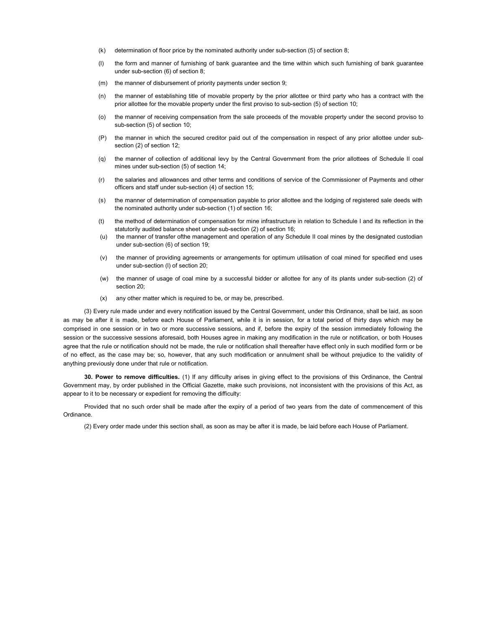- (k) determination of floor price by the nominated authority under sub-section (5) of section 8;
- (l) the form and manner of furnishing of bank guarantee and the time within which such furnishing of bank guarantee under sub-section (6) of section 8;
- (m) the manner of disbursement of priority payments under section 9;
- (n) the manner of establishing title of movable property by the prior allottee or third party who has a contract with the prior allottee for the movable property under the first proviso to sub-section (5) of section 10;
- (o) the manner of receiving compensation from the sale proceeds of the movable property under the second proviso to sub-section (5) of section 10;
- (P) the manner in which the secured creditor paid out of the compensation in respect of any prior allottee under subsection (2) of section 12;
- (q) the manner of collection of additional levy by the Central Government from the prior allottees of Schedule II coal mines under sub-section (5) of section 14;
- (r) the salaries and allowances and other terms and conditions of service of the Commissioner of Payments and other officers and staff under sub-section (4) of section 15;
- (s) the manner of determination of compensation payable to prior allottee and the lodging of registered sale deeds with the nominated authority under sub-section (1) of section 16;
- (t) the method of determination of compensation for mine infrastructure in relation to Schedule I and its reflection in the statutorily audited balance sheet under sub-section (2) of section 16;
- (u) the manner of transfer ofthe management and operation of any Schedule II coal mines by the designated custodian under sub-section (6) of section 19;
- (v) the manner of providing agreements or arrangements for optimum utilisation of coal mined for specified end uses under sub-section (l) of section 20;
- (w) the manner of usage of coal mine by a successful bidder or allottee for any of its plants under sub-section (2) of section 20;
- (x) any other matter which is required to be, or may be, prescribed.

(3) Every rule made under and every notification issued by the Central Government, under this Ordinance, shall be laid, as soon as may be after it is made, before each House of Parliament, while it is in session, for a total period of thirty days which may be comprised in one session or in two or more successive sessions, and if, before the expiry of the session immediately following the session or the successive sessions aforesaid, both Houses agree in making any modification in the rule or notification, or both Houses agree that the rule or notification should not be made, the rule or notification shall thereafter have effect only in such modified form or be of no effect, as the case may be; so, however, that any such modification or annulment shall be without prejudice to the validity of anything previously done under that rule or notification.

30. Power to remove difficulties. (1) If any difficulty arises in giving effect to the provisions of this Ordinance, the Central Government may, by order published in the Official Gazette, make such provisions, not inconsistent with the provisions of this Act, as appear to it to be necessary or expedient for removing the difficulty:

Provided that no such order shall be made after the expiry of a period of two years from the date of commencement of this Ordinance.

(2) Every order made under this section shall, as soon as may be after it is made, be laid before each House of Parliament.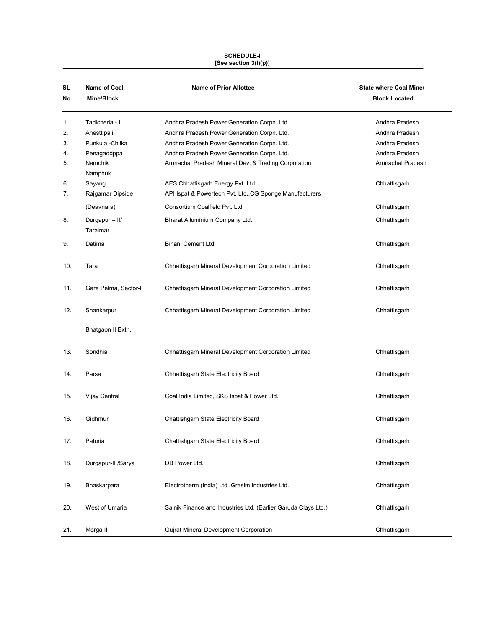#### SCHEDULE-I [See section 3(l)(p)]

| SL<br>No.                  | Name of Coal<br>Mine/Block                                                             | <b>Name of Prior Allottee</b>                                                                                                                                                                                                                    | <b>State where Coal Mine/</b><br><b>Block Located</b>                                     |
|----------------------------|----------------------------------------------------------------------------------------|--------------------------------------------------------------------------------------------------------------------------------------------------------------------------------------------------------------------------------------------------|-------------------------------------------------------------------------------------------|
| 1.<br>2.<br>3.<br>4.<br>5. | Tadicherla - I<br>Anesttipali<br>Punkula - Chilka<br>Penagaddppa<br>Namchik<br>Namphuk | Andhra Pradesh Power Generation Corpn. Ltd.<br>Andhra Pradesh Power Generation Corpn. Ltd.<br>Andhra Pradesh Power Generation Corpn. Ltd.<br>Andhra Pradesh Power Generation Corpn. Ltd.<br>Arunachal Pradesh Mineral Dev. & Trading Corporation | Andhra Pradesh<br>Andhra Pradesh<br>Andhra Pradesh<br>Andhra Pradesh<br>Arunachal Pradesh |
| 6.<br>7.                   | Sayang<br>Rajgamar Dipside                                                             | AES Chhattisgarh Energy Pvt. Ltd.<br>API Ispat & Powertech Pvt. Ltd., CG Sponge Manufacturers                                                                                                                                                    | Chhattisgarh                                                                              |
| 8.                         | (Deavnara)<br>Durgapur - II/<br>Taraimar                                               | Consortium Coalfield Pvt. Ltd.<br>Bharat Alluminium Company Ltd.                                                                                                                                                                                 | Chhattisgarh<br>Chhattisgarh                                                              |
| 9.                         | Datima                                                                                 | Binani Cement Ltd.                                                                                                                                                                                                                               | Chhattisgarh                                                                              |
| 10.                        | Tara                                                                                   | Chhattisgarh Mineral Development Corporation Limited                                                                                                                                                                                             | Chhattisgarh                                                                              |
| 11.                        | Gare Pelma, Sector-I                                                                   | Chhattisgarh Mineral Development Corporation Limited                                                                                                                                                                                             | Chhattisgarh                                                                              |
| 12.                        | Shankarpur                                                                             | Chhattisgarh Mineral Development Corporation Limited                                                                                                                                                                                             | Chhattisgarh                                                                              |
|                            | Bhatgaon II Extn.                                                                      |                                                                                                                                                                                                                                                  |                                                                                           |
| 13.                        | Sondhia                                                                                | Chhattisgarh Mineral Development Corporation Limited                                                                                                                                                                                             | Chhattisgarh                                                                              |
| 14.                        | Parsa                                                                                  | Chhattisgarh State Electricity Board                                                                                                                                                                                                             | Chhattisgarh                                                                              |
| 15.                        | Vijay Central                                                                          | Coal India Limited, SKS Ispat & Power Ltd.                                                                                                                                                                                                       | Chhattisgarh                                                                              |
| 16.                        | Gidhmuri                                                                               | Chattishgarh State Electricity Board                                                                                                                                                                                                             | Chhattisgarh                                                                              |
| 17.                        | Paturia                                                                                | Chattishgarh State Electricity Board                                                                                                                                                                                                             | Chhattisgarh                                                                              |
| 18.                        | Durgapur-II /Sarya                                                                     | DB Power Ltd.                                                                                                                                                                                                                                    | Chhattisgarh                                                                              |
| 19.                        | Bhaskarpara                                                                            | Electrotherm (India) Ltd., Grasim Industries Ltd.                                                                                                                                                                                                | Chhattisgarh                                                                              |
| 20.                        | West of Umaria                                                                         | Sainik Finance and Industries Ltd. (Earlier Garuda Clays Ltd.)                                                                                                                                                                                   | Chhattisgarh                                                                              |
| 21.                        | Morga II                                                                               | <b>Gujrat Mineral Development Corporation</b>                                                                                                                                                                                                    | Chhattisgarh                                                                              |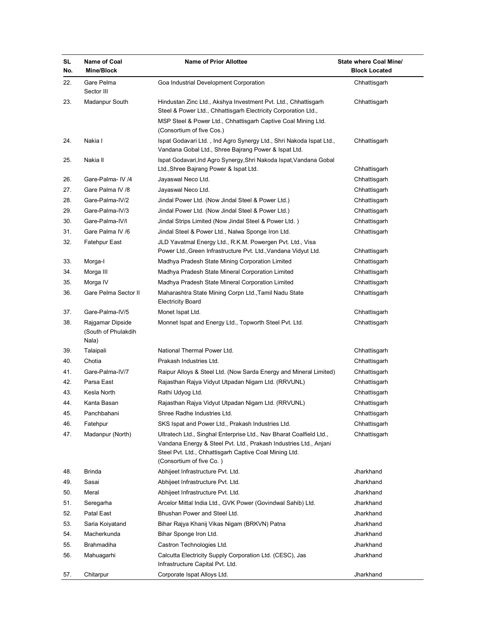| SL<br>No. | Name of Coal<br><b>Mine/Block</b>                | <b>Name of Prior Allottee</b>                                                                                                                                                                                                  | <b>State where Coal Mine/</b><br><b>Block Located</b> |
|-----------|--------------------------------------------------|--------------------------------------------------------------------------------------------------------------------------------------------------------------------------------------------------------------------------------|-------------------------------------------------------|
| 22.       | Gare Pelma<br>Sector III                         | Goa Industrial Development Corporation                                                                                                                                                                                         | Chhattisgarh                                          |
| 23.       | Madanpur South                                   | Hindustan Zinc Ltd., Akshya Investment Pvt. Ltd., Chhattisgarh<br>Steel & Power Ltd., Chhattisgarh Electricity Corporation Ltd.,                                                                                               | Chhattisgarh                                          |
|           |                                                  | MSP Steel & Power Ltd., Chhattisgarh Captive Coal Mining Ltd.<br>(Consortium of five Cos.)                                                                                                                                     |                                                       |
| 24.       | Nakia I                                          | Ispat Godavari Ltd., Ind Agro Synergy Ltd., Shri Nakoda Ispat Ltd.,<br>Vandana Gobal Ltd., Shree Bajrang Power & Ispat Ltd.                                                                                                    | Chhattisgarh                                          |
| 25.       | Nakia II                                         | Ispat Godavari, Ind Agro Synergy, Shri Nakoda Ispat, Vandana Gobal<br>Ltd., Shree Bajrang Power & Ispat Ltd.                                                                                                                   | Chhattisgarh                                          |
| 26.       | Gare-Palma- IV /4                                | Jayaswal Neco Ltd.                                                                                                                                                                                                             | Chhattisgarh                                          |
| 27.       | Gare Palma IV /8                                 | Jayaswal Neco Ltd.                                                                                                                                                                                                             | Chhattisgarh                                          |
| 28.       | Gare-Palma-IV/2                                  | Jindal Power Ltd. (Now Jindal Steel & Power Ltd.)                                                                                                                                                                              | Chhattisgarh                                          |
| 29.       | Gare-Palma-IV/3                                  | Jindal Power Ltd. (Now Jindal Steel & Power Ltd.)                                                                                                                                                                              | Chhattisgarh                                          |
| 30.       | Gare-Palma-IV/I                                  | Jindal Strips Limited (Now Jindal Steel & Power Ltd.)                                                                                                                                                                          | Chhattisgarh                                          |
| 31.       | Gare Palma IV /6                                 | Jindal Steel & Power Ltd., Nalwa Sponge Iron Ltd.                                                                                                                                                                              | Chhattisgarh                                          |
| 32.       | Fatehpur East                                    | JLD Yavatmal Energy Ltd., R.K.M. Powergen Pvt. Ltd., Visa<br>Power Ltd., Green Infrastructure Pvt. Ltd., Vandana Vidyut Ltd.                                                                                                   | Chhattisgarh                                          |
| 33.       | Morga-I                                          | Madhya Pradesh State Mining Corporation Limited                                                                                                                                                                                | Chhattisgarh                                          |
| 34.       | Morga III                                        | Madhya Pradesh State Mineral Corporation Limited                                                                                                                                                                               | Chhattisgarh                                          |
| 35.       | Morga IV                                         | Madhya Pradesh State Mineral Corporation Limited                                                                                                                                                                               | Chhattisgarh                                          |
| 36.       | Gare Pelma Sector II                             | Maharashtra State Mining Corpn Ltd., Tamil Nadu State                                                                                                                                                                          | Chhattisgarh                                          |
|           |                                                  | <b>Electricity Board</b>                                                                                                                                                                                                       |                                                       |
| 37.       | Gare-Palma-IV/5                                  | Monet Ispat Ltd.                                                                                                                                                                                                               | Chhattisgarh                                          |
| 38.       | Rajgamar Dipside<br>(South of Phulakdih<br>Nala) | Monnet Ispat and Energy Ltd., Topworth Steel Pvt. Ltd.                                                                                                                                                                         | Chhattisgarh                                          |
| 39.       | Talaipali                                        | National Thermal Power Ltd.                                                                                                                                                                                                    | Chhattisgarh                                          |
| 40.       | Chotia                                           | Prakash Industries Ltd.                                                                                                                                                                                                        | Chhattisgarh                                          |
| 41.       | Gare-Palma-IV/7                                  | Raipur Alloys & Steel Ltd. (Now Sarda Energy and Mineral Limited)                                                                                                                                                              | Chhattisgarh                                          |
| 42.       | Parsa East                                       | Rajasthan Rajya Vidyut Utpadan Nigam Ltd. (RRVUNL)                                                                                                                                                                             | Chhattisgarh                                          |
| 43.       | Kesla North                                      | Rathi Udyog Ltd.                                                                                                                                                                                                               | Chhattisgarh                                          |
| 44.       | Kanta Basan                                      | Rajasthan Rajya Vidyut Utpadan Nigam Ltd. (RRVUNL)                                                                                                                                                                             | Chhattisgarh                                          |
| 45.       | Panchbahani                                      | Shree Radhe Industries Ltd.                                                                                                                                                                                                    | Chhattisgarh                                          |
| 46.       | Fatehpur                                         | SKS Ispat and Power Ltd., Prakash Industries Ltd.                                                                                                                                                                              | Chhattisgarh                                          |
| 47.       | Madanpur (North)                                 | Ultratech Ltd., Singhal Enterprise Ltd., Nav Bharat Coalfield Ltd.,<br>Vandana Energy & Steel Pvt. Ltd., Prakash Industries Ltd., Anjani<br>Steel Pvt. Ltd., Chhattisgarh Captive Coal Mining Ltd.<br>(Consortium of five Co.) | Chhattisgarh                                          |
| 48.       | Brinda                                           | Abhijeet Infrastructure Pvt. Ltd.                                                                                                                                                                                              | Jharkhand                                             |
| 49.       | Sasai                                            | Abhijeet Infrastructure Pvt. Ltd.                                                                                                                                                                                              | Jharkhand                                             |
| 50.       | Meral                                            | Abhijeet Infrastructure Pvt. Ltd.                                                                                                                                                                                              | Jharkhand                                             |
| 51.       | Seregarha                                        | Arcelor Mittal India Ltd., GVK Power (Govindwal Sahib) Ltd.                                                                                                                                                                    | Jharkhand                                             |
| 52.       | Patal East                                       | Bhushan Power and Steel Ltd.                                                                                                                                                                                                   | Jharkhand                                             |
| 53.       | Saria Koiyatand                                  | Bihar Rajya Khanij Vikas Nigam (BRKVN) Patna                                                                                                                                                                                   | Jharkhand                                             |
| 54.       | Macherkunda                                      | Bihar Sponge Iron Ltd.                                                                                                                                                                                                         | Jharkhand                                             |
| 55.       | Brahmadiha                                       | Castron Technologies Ltd.                                                                                                                                                                                                      | Jharkhand                                             |
| 56.       | Mahuagarhi                                       | Calcutta Electricity Supply Corporation Ltd. (CESC), Jas<br>Infrastructure Capital Pvt. Ltd.                                                                                                                                   | Jharkhand                                             |
| 57.       | Chitarpur                                        | Corporate Ispat Alloys Ltd.                                                                                                                                                                                                    | Jharkhand                                             |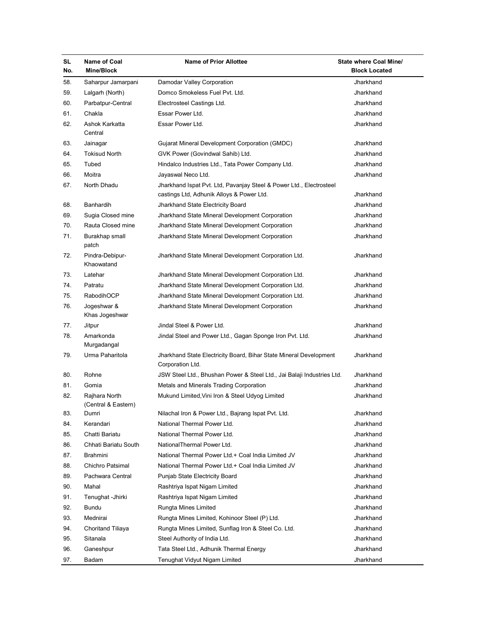| <b>SL</b><br>No. | Name of Coal<br>Mine/Block           | <b>Name of Prior Allottee</b>                                                                                    | State where Coal Mine/<br><b>Block Located</b> |
|------------------|--------------------------------------|------------------------------------------------------------------------------------------------------------------|------------------------------------------------|
| 58.              | Saharpur Jamarpani                   | Damodar Valley Corporation                                                                                       | Jharkhand                                      |
| 59.              | Lalgarh (North)                      | Domco Smokeless Fuel Pvt. Ltd.                                                                                   | Jharkhand                                      |
| 60.              | Parbatpur-Central                    | Electrosteel Castings Ltd.                                                                                       | Jharkhand                                      |
| 61.              | Chakla                               | Essar Power Ltd.                                                                                                 | Jharkhand                                      |
| 62.              | Ashok Karkatta<br>Central            | Essar Power Ltd.                                                                                                 | Jharkhand                                      |
| 63.              | Jainagar                             | Gujarat Mineral Development Corporation (GMDC)                                                                   | Jharkhand                                      |
| 64.              | <b>Tokisud North</b>                 | GVK Power (Govindwal Sahib) Ltd.                                                                                 | Jharkhand                                      |
| 65.              | Tubed                                | Hindalco Industries Ltd., Tata Power Company Ltd.                                                                | Jharkhand                                      |
| 66.              | Moitra                               | Jayaswal Neco Ltd.                                                                                               | Jharkhand                                      |
| 67.              | North Dhadu                          | Jharkhand Ispat Pvt. Ltd, Pavanjay Steel & Power Ltd., Electrosteel<br>castings Ltd, Adhunik Alloys & Power Ltd. | Jharkhand                                      |
| 68.              | Banhardih                            | Jharkhand State Electricity Board                                                                                | Jharkhand                                      |
| 69.              | Sugia Closed mine                    | Jharkhand State Mineral Development Corporation                                                                  | Jharkhand                                      |
| 70.              | Rauta Closed mine                    | Jharkhand State Mineral Development Corporation                                                                  | Jharkhand                                      |
| 71.              | Burakhap small<br>patch              | Jharkhand State Mineral Development Corporation                                                                  | Jharkhand                                      |
| 72.              | Pindra-Debipur-<br>Khaowatand        | Jharkhand State Mineral Development Corporation Ltd.                                                             | Jharkhand                                      |
| 73.              | Latehar                              | Jharkhand State Mineral Development Corporation Ltd.                                                             | Jharkhand                                      |
| 74.              | Patratu                              | Jharkhand State Mineral Development Corporation Ltd.                                                             | Jharkhand                                      |
| 75.              | RabodihOCP                           | Jharkhand State Mineral Development Corporation Ltd.                                                             | Jharkhand                                      |
| 76.              | Jogeshwar &<br>Khas Jogeshwar        | Jharkhand State Mineral Development Corporation                                                                  | Jharkhand                                      |
| 77.              | Jitpur                               | Jindal Steel & Power Ltd.                                                                                        | Jharkhand                                      |
| 78.              | Amarkonda<br>Murgadangal             | Jindal Steel and Power Ltd., Gagan Sponge Iron Pvt. Ltd.                                                         | Jharkhand                                      |
| 79.              | Urma Paharitola                      | Jharkhand State Electricity Board, Bihar State Mineral Development<br>Corporation Ltd.                           | Jharkhand                                      |
| 80.              | Rohne                                | JSW Steel Ltd., Bhushan Power & Steel Ltd., Jai Balaji Industries Ltd.                                           | Jharkhand                                      |
| 81.              | Gomia                                | Metals and Minerals Trading Corporation                                                                          | Jharkhand                                      |
| 82.              | Rajhara North<br>(Central & Eastern) | Mukund Limited, Vini Iron & Steel Udyog Limited                                                                  | Jharkhand                                      |
| 83.              | Dumri                                | Nilachal Iron & Power Ltd., Bajrang Ispat Pvt. Ltd.                                                              | Jharkhand                                      |
| 84.              | Kerandari                            | National Thermal Power Ltd.                                                                                      | Jharkhand                                      |
| 85.              | Chatti Bariatu                       | National Thermal Power Ltd.                                                                                      | Jharkhand                                      |
| 86.              | Chhati Bariatu South                 | NationalThermal Power Ltd.                                                                                       | Jharkhand                                      |
| 87.              | Brahmini                             | National Thermal Power Ltd.+ Coal India Limited JV                                                               | Jharkhand                                      |
| 88.              | Chichro Patsimal                     | National Thermal Power Ltd.+ Coal India Limited JV                                                               | Jharkhand                                      |
| 89.              | Pachwara Central                     | Punjab State Electricity Board                                                                                   | Jharkhand                                      |
| 90.              | Mahal                                | Rashtriya Ispat Nigam Limited                                                                                    | Jharkhand                                      |
| 91.              | Tenughat - Jhirki                    | Rashtriya Ispat Nigam Limited                                                                                    | Jharkhand                                      |
| 92.              | Bundu                                | Rungta Mines Limited                                                                                             | Jharkhand                                      |
| 93.              | Mednirai                             | Rungta Mines Limited, Kohinoor Steel (P) Ltd.                                                                    | Jharkhand                                      |
| 94.              | <b>Choritand Tiliaya</b>             | Rungta Mines Limited, Sunflag Iron & Steel Co. Ltd.                                                              | Jharkhand                                      |
| 95.              | Sitanala                             | Steel Authority of India Ltd.                                                                                    | Jharkhand                                      |
| 96.              | Ganeshpur                            | Tata Steel Ltd., Adhunik Thermal Energy                                                                          | Jharkhand                                      |
| 97.              | Badam                                | Tenughat Vidyut Nigam Limited                                                                                    | Jharkhand                                      |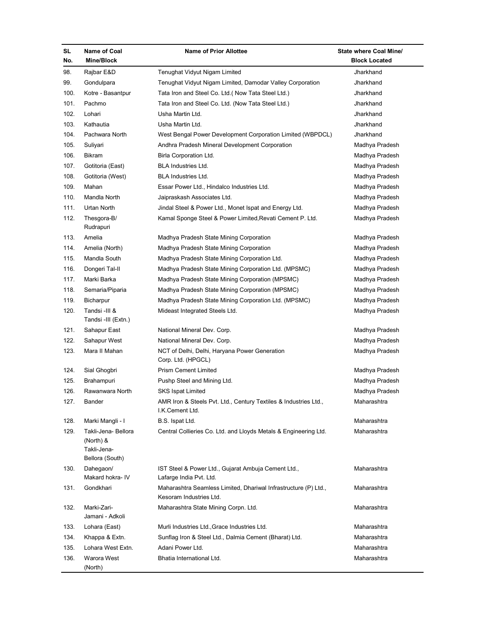| SL<br>No. | Name of Coal<br>Mine/Block                                         | <b>Name of Prior Allottee</b>                                                              | State where Coal Mine/<br><b>Block Located</b> |
|-----------|--------------------------------------------------------------------|--------------------------------------------------------------------------------------------|------------------------------------------------|
| 98.       | Rajbar E&D                                                         | Tenughat Vidyut Nigam Limited                                                              | Jharkhand                                      |
| 99.       | Gondulpara                                                         | Tenughat Vidyut Nigam Limited, Damodar Valley Corporation                                  | Jharkhand                                      |
| 100.      | Kotre - Basantpur                                                  | Tata Iron and Steel Co. Ltd. (Now Tata Steel Ltd.)                                         | Jharkhand                                      |
| 101.      | Pachmo                                                             | Tata Iron and Steel Co. Ltd. (Now Tata Steel Ltd.)                                         | Jharkhand                                      |
| 102.      | Lohari                                                             | Usha Martin Ltd.                                                                           | Jharkhand                                      |
| 103.      | Kathautia                                                          | Usha Martin Ltd.                                                                           | Jharkhand                                      |
| 104.      | Pachwara North                                                     | West Bengal Power Development Corporation Limited (WBPDCL)                                 | Jharkhand                                      |
| 105.      | Suliyari                                                           | Andhra Pradesh Mineral Development Corporation                                             | Madhya Pradesh                                 |
| 106.      | Bikram                                                             | Birla Corporation Ltd.                                                                     | Madhya Pradesh                                 |
| 107.      | Gotitoria (East)                                                   | <b>BLA Industries Ltd.</b>                                                                 | Madhya Pradesh                                 |
| 108.      | Gotitoria (West)                                                   | <b>BLA Industries Ltd.</b>                                                                 | Madhya Pradesh                                 |
| 109.      | Mahan                                                              | Essar Power Ltd., Hindalco Industries Ltd.                                                 | Madhya Pradesh                                 |
| 110.      | Mandla North                                                       | Jaipraskash Associates Ltd.                                                                | Madhya Pradesh                                 |
| 111.      | Urtan North                                                        | Jindal Steel & Power Ltd., Monet Ispat and Energy Ltd.                                     | Madhya Pradesh                                 |
| 112.      | Thesgora-B/<br>Rudrapuri                                           | Kamal Sponge Steel & Power Limited, Revati Cement P. Ltd.                                  | Madhya Pradesh                                 |
| 113.      | Amelia                                                             | Madhya Pradesh State Mining Corporation                                                    | Madhya Pradesh                                 |
| 114.      | Amelia (North)                                                     | Madhya Pradesh State Mining Corporation                                                    | Madhya Pradesh                                 |
| 115.      | Mandla South                                                       | Madhya Pradesh State Mining Corporation Ltd.                                               | Madhya Pradesh                                 |
| 116.      | Dongeri Tal-II                                                     | Madhya Pradesh State Mining Corporation Ltd. (MPSMC)                                       | Madhya Pradesh                                 |
| 117.      | Marki Barka                                                        | Madhya Pradesh State Mining Corporation (MPSMC)                                            | Madhya Pradesh                                 |
| 118.      | Semaria/Piparia                                                    | Madhya Pradesh State Mining Corporation (MPSMC)                                            | Madhya Pradesh                                 |
| 119.      | Bicharpur                                                          | Madhya Pradesh State Mining Corporation Ltd. (MPSMC)                                       | Madhya Pradesh                                 |
| 120.      | Tandsi -III &<br>Tandsi -III (Extn.)                               | Mideast Integrated Steels Ltd.                                                             | Madhya Pradesh                                 |
| 121.      | Sahapur East                                                       | National Mineral Dev. Corp.                                                                | Madhya Pradesh                                 |
| 122.      | Sahapur West                                                       | National Mineral Dev. Corp.                                                                | Madhya Pradesh                                 |
| 123.      | Mara II Mahan                                                      | NCT of Delhi, Delhi, Haryana Power Generation<br>Corp. Ltd. (HPGCL)                        | Madhya Pradesh                                 |
| 124.      | Sial Ghogbri                                                       | <b>Prism Cement Limited</b>                                                                | Madhya Pradesh                                 |
| 125.      | Brahampuri                                                         | Pushp Steel and Mining Ltd.                                                                | Madhya Pradesh                                 |
| 126.      | Rawanwara North                                                    | <b>SKS Ispat Limited</b>                                                                   | Madhya Pradesh                                 |
| 127.      | Bander                                                             | AMR Iron & Steels Pvt. Ltd., Century Textiles & Industries Ltd.,<br>I.K.Cement Ltd.        | Maharashtra                                    |
| 128.      | Marki Mangli - I                                                   | B.S. Ispat Ltd.                                                                            | Maharashtra                                    |
| 129.      | Takli-Jena- Bellora<br>(North) &<br>Takli-Jena-<br>Bellora (South) | Central Collieries Co. Ltd. and Lloyds Metals & Engineering Ltd.                           | Maharashtra                                    |
| 130.      | Dahegaon/<br>Makard hokra- IV                                      | IST Steel & Power Ltd., Gujarat Ambuja Cement Ltd.,<br>Lafarge India Pvt. Ltd.             | Maharashtra                                    |
| 131.      | Gondkhari                                                          | Maharashtra Seamless Limited, Dhariwal Infrastructure (P) Ltd.,<br>Kesoram Industries Ltd. | Maharashtra                                    |
| 132.      | Marki-Zari-<br>Jamani - Adkoli                                     | Maharashtra State Mining Corpn. Ltd.                                                       | Maharashtra                                    |
| 133.      | Lohara (East)                                                      | Murli Industries Ltd., Grace Industries Ltd.                                               | Maharashtra                                    |
| 134.      | Khappa & Extn.                                                     | Sunflag Iron & Steel Ltd., Dalmia Cement (Bharat) Ltd.                                     | Maharashtra                                    |
| 135.      | Lohara West Extn.                                                  | Adani Power Ltd.                                                                           | Maharashtra                                    |
| 136.      | Warora West                                                        | Bhatia International Ltd.                                                                  | Maharashtra                                    |
|           | (North)                                                            |                                                                                            |                                                |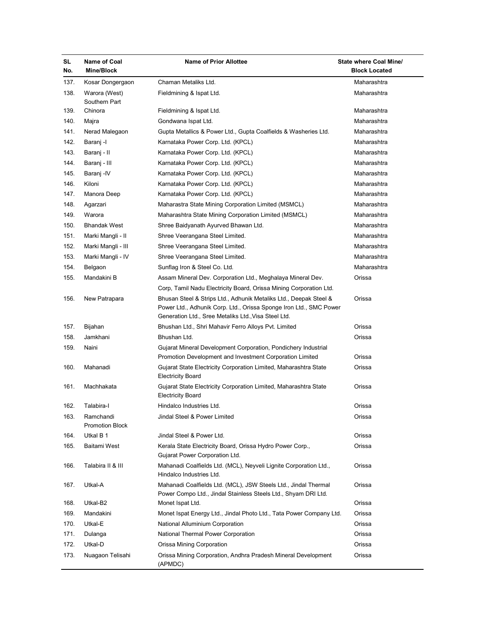| <b>SL</b><br>No. | Name of Coal<br><b>Mine/Block</b>   | <b>Name of Prior Allottee</b>                                                                                                                                                                   | State where Coal Mine/<br><b>Block Located</b> |
|------------------|-------------------------------------|-------------------------------------------------------------------------------------------------------------------------------------------------------------------------------------------------|------------------------------------------------|
| 137.             | Kosar Dongergaon                    | Chaman Metaliks Ltd.                                                                                                                                                                            | Maharashtra                                    |
| 138.             | Warora (West)<br>Southern Part      | Fieldmining & Ispat Ltd.                                                                                                                                                                        | Maharashtra                                    |
| 139.             | Chinora                             | Fieldmining & Ispat Ltd.                                                                                                                                                                        | Maharashtra                                    |
| 140.             | Majra                               | Gondwana Ispat Ltd.                                                                                                                                                                             | Maharashtra                                    |
| 141.             | Nerad Malegaon                      | Gupta Metallics & Power Ltd., Gupta Coalfields & Washeries Ltd.                                                                                                                                 | Maharashtra                                    |
| 142.             | Baranj -l                           | Karnataka Power Corp. Ltd. (KPCL)                                                                                                                                                               | Maharashtra                                    |
| 143.             | Baranj - II                         | Karnataka Power Corp. Ltd. (KPCL)                                                                                                                                                               | Maharashtra                                    |
| 144.             | Baranj - III                        | Karnataka Power Corp. Ltd. (KPCL)                                                                                                                                                               | Maharashtra                                    |
| 145.             | Baranj -IV                          | Karnataka Power Corp. Ltd. (KPCL)                                                                                                                                                               | Maharashtra                                    |
| 146.             | Kiloni                              | Karnataka Power Corp. Ltd. (KPCL)                                                                                                                                                               | Maharashtra                                    |
| 147.             | Manora Deep                         | Karnataka Power Corp. Ltd. (KPCL)                                                                                                                                                               | Maharashtra                                    |
| 148.             | Agarzari                            | Maharastra State Mining Corporation Limited (MSMCL)                                                                                                                                             | Maharashtra                                    |
| 149.             | Warora                              | Maharashtra State Mining Corporation Limited (MSMCL)                                                                                                                                            | Maharashtra                                    |
| 150.             | <b>Bhandak West</b>                 | Shree Baidyanath Ayurved Bhawan Ltd.                                                                                                                                                            | Maharashtra                                    |
| 151.             | Marki Mangli - II                   | Shree Veerangana Steel Limited.                                                                                                                                                                 | Maharashtra                                    |
| 152.             | Marki Mangli - III                  | Shree Veerangana Steel Limited.                                                                                                                                                                 | Maharashtra                                    |
| 153.             | Marki Mangli - IV                   | Shree Veerangana Steel Limited.                                                                                                                                                                 | Maharashtra                                    |
| 154.             | Belgaon                             | Sunflag Iron & Steel Co. Ltd.                                                                                                                                                                   | Maharashtra                                    |
| 155.             | Mandakini B                         | Assam Mineral Dev. Corporation Ltd., Meghalaya Mineral Dev.                                                                                                                                     | Orissa                                         |
|                  |                                     | Corp, Tamil Nadu Electricity Board, Orissa Mining Corporation Ltd.                                                                                                                              |                                                |
| 156.             | New Patrapara                       | Bhusan Steel & Strips Ltd., Adhunik Metaliks Ltd., Deepak Steel &<br>Power Ltd., Adhunik Corp. Ltd., Orissa Sponge Iron Ltd., SMC Power<br>Generation Ltd., Sree Metaliks Ltd., Visa Steel Ltd. | Orissa                                         |
| 157.             | Bijahan                             | Bhushan Ltd., Shri Mahavir Ferro Alloys Pvt. Limited                                                                                                                                            | Orissa                                         |
| 158.             | Jamkhani                            | Bhushan Ltd.                                                                                                                                                                                    | Orissa                                         |
| 159.             | Naini                               | Gujarat Mineral Development Corporation, Pondichery Industrial<br>Promotion Development and Investment Corporation Limited                                                                      | Orissa                                         |
| 160.             | Mahanadi                            | Gujarat State Electricity Corporation Limited, Maharashtra State<br><b>Electricity Board</b>                                                                                                    | Orissa                                         |
| 161.             | Machhakata                          | Gujarat State Electricity Corporation Limited, Maharashtra State<br><b>Electricity Board</b>                                                                                                    | Orissa                                         |
| 162.             | Talabira-l                          | Hindalco Industries Ltd.                                                                                                                                                                        | Orissa                                         |
| 163.             | Ramchandi<br><b>Promotion Block</b> | Jindal Steel & Power Limited                                                                                                                                                                    | Orissa                                         |
| 164.             | Utkal B 1                           | Jindal Steel & Power Ltd.                                                                                                                                                                       | Orissa                                         |
| 165.             | Baitami West                        | Kerala State Electricity Board, Orissa Hydro Power Corp.,<br>Gujarat Power Corporation Ltd.                                                                                                     | Orissa                                         |
| 166.             | Talabira II & III                   | Mahanadi Coalfields Ltd. (MCL), Neyveli Lignite Corporation Ltd.,<br>Hindalco Industries Ltd.                                                                                                   | Orissa                                         |
| 167.             | Utkal-A                             | Mahanadi Coalfields Ltd. (MCL), JSW Steels Ltd., Jindal Thermal<br>Power Compo Ltd., Jindal Stainless Steels Ltd., Shyam DRI Ltd.                                                               | Orissa                                         |
| 168.             | Utkal-B2                            | Monet Ispat Ltd.                                                                                                                                                                                | Orissa                                         |
| 169.             | Mandakini                           | Monet Ispat Energy Ltd., Jindal Photo Ltd., Tata Power Company Ltd.                                                                                                                             | Orissa                                         |
| 170.             | Utkal-E                             | National Alluminium Corporation                                                                                                                                                                 | Orissa                                         |
| 171.             | Dulanga                             | National Thermal Power Corporation                                                                                                                                                              | Orissa                                         |
| 172.             | Utkal-D                             | Orissa Mining Corporation                                                                                                                                                                       | Orissa                                         |
| 173.             | Nuagaon Telisahi                    | Orissa Mining Corporation, Andhra Pradesh Mineral Development<br>(APMDC)                                                                                                                        | Orissa                                         |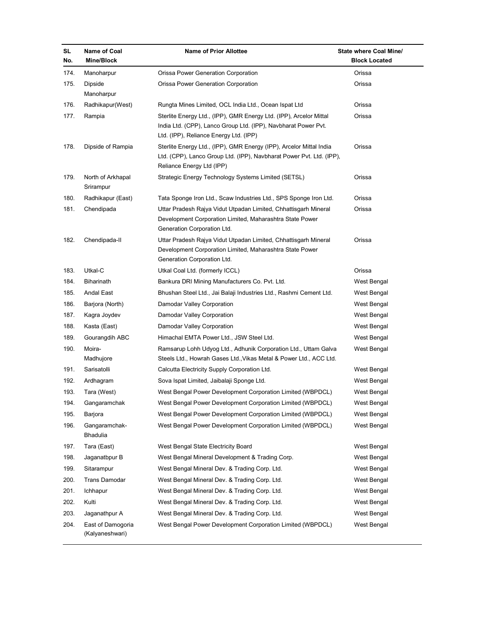| SL<br>No. | Name of Coal<br>Mine/Block           | <b>Name of Prior Allottee</b>                                                                                                                                                  | State where Coal Mine/<br><b>Block Located</b> |
|-----------|--------------------------------------|--------------------------------------------------------------------------------------------------------------------------------------------------------------------------------|------------------------------------------------|
| 174.      | Manoharpur                           | Orissa Power Generation Corporation                                                                                                                                            | Orissa                                         |
| 175.      | Dipside                              | Orissa Power Generation Corporation                                                                                                                                            | Orissa                                         |
|           | Manoharpur                           |                                                                                                                                                                                |                                                |
| 176.      | Radhikapur(West)                     | Rungta Mines Limited, OCL India Ltd., Ocean Ispat Ltd                                                                                                                          | Orissa                                         |
| 177.      | Rampia                               | Sterlite Energy Ltd., (IPP), GMR Energy Ltd. (IPP), Arcelor Mittal<br>India Ltd. (CPP), Lanco Group Ltd. (IPP), Navbharat Power Pvt.<br>Ltd. (IPP), Reliance Energy Ltd. (IPP) | Orissa                                         |
| 178.      | Dipside of Rampia                    | Sterlite Energy Ltd., (IPP), GMR Energy (IPP), Arcelor Mittal India<br>Ltd. (CPP), Lanco Group Ltd. (IPP), Navbharat Power Pvt. Ltd. (IPP),<br>Reliance Energy Ltd (IPP)       | Orissa                                         |
| 179.      | North of Arkhapal<br>Srirampur       | Strategic Energy Technology Systems Limited (SETSL)                                                                                                                            | Orissa                                         |
| 180.      | Radhikapur (East)                    | Tata Sponge Iron Ltd., Scaw Industries Ltd., SPS Sponge Iron Ltd.                                                                                                              | Orissa                                         |
| 181.      | Chendipada                           | Uttar Pradesh Rajya Vidut Utpadan Limited, Chhattisgarh Mineral<br>Development Corporation Limited, Maharashtra State Power<br>Generation Corporation Ltd.                     | Orissa                                         |
| 182.      | Chendipada-II                        | Uttar Pradesh Rajya Vidut Utpadan Limited, Chhattisgarh Mineral<br>Development Corporation Limited, Maharashtra State Power<br>Generation Corporation Ltd.                     | Orissa                                         |
| 183.      | Utkal-C                              | Utkal Coal Ltd. (formerly ICCL)                                                                                                                                                | Orissa                                         |
| 184.      | Biharinath                           | Bankura DRI Mining Manufacturers Co. Pvt. Ltd.                                                                                                                                 | West Bengal                                    |
| 185.      | Andal East                           | Bhushan Steel Ltd., Jai Balaji Industries Ltd., Rashmi Cement Ltd.                                                                                                             | West Bengal                                    |
| 186.      | Barjora (North)                      | Damodar Valley Corporation                                                                                                                                                     | West Bengal                                    |
| 187.      | Kagra Joydev                         | Damodar Valley Corporation                                                                                                                                                     | West Bengal                                    |
| 188.      | Kasta (East)                         | Damodar Valley Corporation                                                                                                                                                     | West Bengal                                    |
| 189.      | Gourangdih ABC                       | Himachal EMTA Power Ltd., JSW Steel Ltd.                                                                                                                                       | West Bengal                                    |
| 190.      | Moira-<br>Madhujore                  | Ramsarup Lohh Udyog Ltd., Adhunik Corporation Ltd., Uttam Galva<br>Steels Ltd., Howrah Gases Ltd., Vikas Metal & Power Ltd., ACC Ltd.                                          | West Bengal                                    |
| 191.      | Sarisatolli                          | Calcutta Electricity Supply Corporation Ltd.                                                                                                                                   | West Bengal                                    |
| 192.      | Ardhagram                            | Sova Ispat Limited, Jaibalaji Sponge Ltd.                                                                                                                                      | West Bengal                                    |
| 193.      | Tara (West)                          | West Bengal Power Development Corporation Limited (WBPDCL)                                                                                                                     | West Bengal                                    |
| 194.      | Gangaramchak                         | West Bengal Power Development Corporation Limited (WBPDCL)                                                                                                                     | West Bengal                                    |
| 195.      | Barjora                              | West Bengal Power Development Corporation Limited (WBPDCL)                                                                                                                     | West Bengal                                    |
| 196.      | Gangaramchak-<br>Bhadulia            | West Bengal Power Development Corporation Limited (WBPDCL)                                                                                                                     | West Bengal                                    |
| 197.      | Tara (East)                          | West Bengal State Electricity Board                                                                                                                                            | West Bengal                                    |
| 198.      | Jaganatbpur B                        | West Bengal Mineral Development & Trading Corp.                                                                                                                                | West Bengal                                    |
| 199.      | Sitarampur                           | West Bengal Mineral Dev. & Trading Corp. Ltd.                                                                                                                                  | West Bengal                                    |
| 200.      | Trans Damodar                        | West Bengal Mineral Dev. & Trading Corp. Ltd.                                                                                                                                  | West Bengal                                    |
| 201.      | Ichhapur                             | West Bengal Mineral Dev. & Trading Corp. Ltd.                                                                                                                                  | West Bengal                                    |
| 202.      | Kulti                                | West Bengal Mineral Dev. & Trading Corp. Ltd.                                                                                                                                  | West Bengal                                    |
| 203.      | Jaganathpur A                        | West Bengal Mineral Dev. & Trading Corp. Ltd.                                                                                                                                  | West Bengal                                    |
| 204.      | East of Damogoria<br>(Kalyaneshwari) | West Bengal Power Development Corporation Limited (WBPDCL)                                                                                                                     | West Bengal                                    |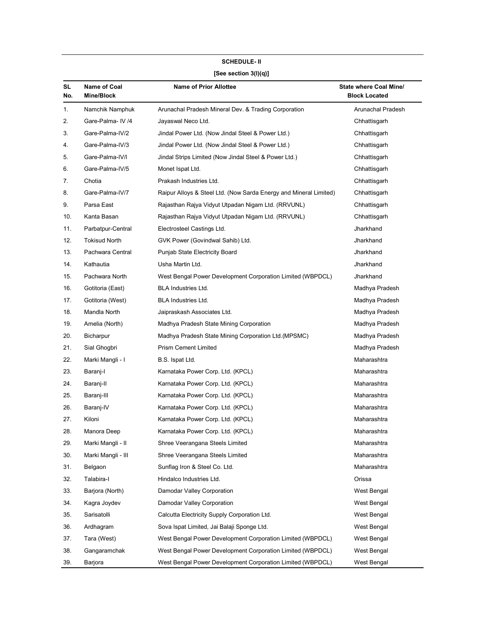|           | <b>SCHEDULE-II</b>         |                                                                   |                                                |  |  |
|-----------|----------------------------|-------------------------------------------------------------------|------------------------------------------------|--|--|
|           | [See section $3(l)(q)$ ]   |                                                                   |                                                |  |  |
| SL<br>No. | Name of Coal<br>Mine/Block | <b>Name of Prior Allottee</b>                                     | State where Coal Mine/<br><b>Block Located</b> |  |  |
| 1.        | Namchik Namphuk            | Arunachal Pradesh Mineral Dev. & Trading Corporation              | Arunachal Pradesh                              |  |  |
| 2.        | Gare-Palma- IV /4          | Jayaswal Neco Ltd.                                                | Chhattisgarh                                   |  |  |
| 3.        | Gare-Palma-IV/2            | Jindal Power Ltd. (Now Jindal Steel & Power Ltd.)                 | Chhattisgarh                                   |  |  |
| 4.        | Gare-Palma-IV/3            | Jindal Power Ltd. (Now Jindal Steel & Power Ltd.)                 | Chhattisgarh                                   |  |  |
| 5.        | Gare-Palma-IV/I            | Jindal Strips Limited (Now Jindal Steel & Power Ltd.)             | Chhattisgarh                                   |  |  |
| 6.        | Gare-Palma-IV/5            | Monet Ispat Ltd.                                                  | Chhattisgarh                                   |  |  |
| 7.        | Chotia                     | Prakash Industries Ltd.                                           | Chhattisgarh                                   |  |  |
| 8.        | Gare-Palma-IV/7            | Raipur Alloys & Steel Ltd. (Now Sarda Energy and Mineral Limited) | Chhattisgarh                                   |  |  |
| 9.        | Parsa East                 | Rajasthan Rajya Vidyut Utpadan Nigam Ltd. (RRVUNL)                | Chhattisgarh                                   |  |  |
| 10.       | Kanta Basan                | Rajasthan Rajya Vidyut Utpadan Nigam Ltd. (RRVUNL)                | Chhattisgarh                                   |  |  |
| 11.       | Parbatpur-Central          | Electrosteel Castings Ltd.                                        | Jharkhand                                      |  |  |
| 12.       | Tokisud North              | GVK Power (Govindwal Sahib) Ltd.                                  | Jharkhand                                      |  |  |
| 13.       | Pachwara Central           | Punjab State Electricity Board                                    | Jharkhand                                      |  |  |
| 14.       | Kathautia                  | Usha Martin Ltd.                                                  | Jharkhand                                      |  |  |
| 15.       | Pachwara North             | West Bengal Power Development Corporation Limited (WBPDCL)        | Jharkhand                                      |  |  |
| 16.       | Gotitoria (East)           | BLA Industries Ltd.                                               | Madhya Pradesh                                 |  |  |
| 17.       | Gotitoria (West)           | BLA Industries Ltd.                                               | Madhya Pradesh                                 |  |  |
| 18.       | Mandla North               | Jaipraskash Associates Ltd.                                       | Madhya Pradesh                                 |  |  |
| 19.       | Amelia (North)             | Madhya Pradesh State Mining Corporation                           | Madhya Pradesh                                 |  |  |
| 20.       | Bicharpur                  | Madhya Pradesh State Mining Corporation Ltd. (MPSMC)              | Madhya Pradesh                                 |  |  |
| 21.       | Sial Ghogbri               | <b>Prism Cement Limited</b>                                       | Madhya Pradesh                                 |  |  |
| 22.       | Marki Mangli - I           | B.S. Ispat Ltd.                                                   | Maharashtra                                    |  |  |
| 23.       | Baranj-l                   | Karnataka Power Corp. Ltd. (KPCL)                                 | Maharashtra                                    |  |  |
| 24.       | Baranj-II                  | Karnataka Power Corp. Ltd. (KPCL)                                 | Maharashtra                                    |  |  |
| 25.       | Baranj-III                 | Karnataka Power Corp. Ltd. (KPCL)                                 | Maharashtra                                    |  |  |
| 26.       | Baranj-IV                  | Karnataka Power Corp. Ltd. (KPCL)                                 | Maharashtra                                    |  |  |
| 27.       | Kiloni                     | Karnataka Power Corp. Ltd. (KPCL)                                 | Maharashtra                                    |  |  |
| 28.       | Manora Deep                | Karnataka Power Corp. Ltd. (KPCL)                                 | Maharashtra                                    |  |  |
| 29.       | Marki Mangli - II          | Shree Veerangana Steels Limited                                   | Maharashtra                                    |  |  |
| 30.       | Marki Mangli - III         | Shree Veerangana Steels Limited                                   | Maharashtra                                    |  |  |
| 31.       | Belgaon                    | Sunflag Iron & Steel Co. Ltd.                                     | Maharashtra                                    |  |  |
| 32.       | Talabira-l                 | Hindalco Industries Ltd.                                          | Orissa                                         |  |  |
| 33.       | Barjora (North)            | Damodar Valley Corporation                                        | West Bengal                                    |  |  |
| 34.       | Kagra Joydev               | Damodar Valley Corporation                                        | West Bengal                                    |  |  |
| 35.       | Sarisatolli                | Calcutta Electricity Supply Corporation Ltd.                      | West Bengal                                    |  |  |
| 36.       | Ardhagram                  | Sova Ispat Limited, Jai Balaji Sponge Ltd.                        | West Bengal                                    |  |  |
| 37.       | Tara (West)                | West Bengal Power Development Corporation Limited (WBPDCL)        | West Bengal                                    |  |  |
| 38.       | Gangaramchak               | West Bengal Power Development Corporation Limited (WBPDCL)        | West Bengal                                    |  |  |
| 39.       | Barjora                    | West Bengal Power Development Corporation Limited (WBPDCL)        | West Bengal                                    |  |  |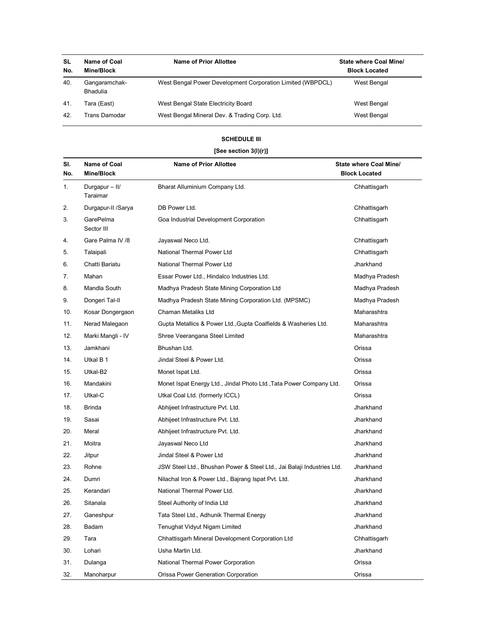| <b>SL</b><br>No. | Name of Coal<br>Mine/Block       | Name of Prior Allottee                                     | State where Coal Mine/<br><b>Block Located</b> |
|------------------|----------------------------------|------------------------------------------------------------|------------------------------------------------|
| 40.              | Gangaramchak-<br><b>Bhadulia</b> | West Bengal Power Development Corporation Limited (WBPDCL) | West Bengal                                    |
| 41.              | Tara (East)                      | West Bengal State Electricity Board                        | West Bengal                                    |
| 42.              | Trans Damodar                    | West Bengal Mineral Dev. & Trading Corp. Ltd.              | West Bengal                                    |

# SCHEDULE III

# [See section 3(l)(r)]

| SI.<br>No. | Name of Coal<br>Mine/Block | <b>Name of Prior Allottee</b>                                          | <b>State where Coal Mine/</b><br><b>Block Located</b> |
|------------|----------------------------|------------------------------------------------------------------------|-------------------------------------------------------|
| 1.         | Durgapur - II/<br>Taraimar | Bharat Alluminium Company Ltd.                                         | Chhattisgarh                                          |
| 2.         | Durgapur-II /Sarya         | DB Power Ltd.                                                          | Chhattisgarh                                          |
| 3.         | GarePelma<br>Sector III    | Goa Industrial Development Corporation                                 | Chhattisgarh                                          |
| 4.         | Gare Palma IV /8           | Jayaswal Neco Ltd.                                                     | Chhattisgarh                                          |
| 5.         | Talaipali                  | National Thermal Power Ltd                                             | Chhattisgarh                                          |
| 6.         | Chatti Bariatu             | National Thermal Power Ltd                                             | Jharkhand                                             |
| 7.         | Mahan                      | Essar Power Ltd., Hindalco Industries Ltd.                             | Madhya Pradesh                                        |
| 8.         | Mandla South               | Madhya Pradesh State Mining Corporation Ltd                            | Madhya Pradesh                                        |
| 9.         | Dongeri Tal-II             | Madhya Pradesh State Mining Corporation Ltd. (MPSMC)                   | Madhya Pradesh                                        |
| 10.        | Kosar Dongergaon           | Chaman Metaliks Ltd                                                    | Maharashtra                                           |
| 11.        | Nerad Malegaon             | Gupta Metallics & Power Ltd., Gupta Coalfields & Washeries Ltd.        | Maharashtra                                           |
| 12.        | Marki Mangli - IV          | Shree Veerangana Steel Limited                                         | Maharashtra                                           |
| 13.        | Jamkhani                   | Bhushan Ltd.                                                           | Orissa                                                |
| 14.        | Utkal B 1                  | Jindal Steel & Power Ltd.                                              | Orissa                                                |
| 15.        | Utkal-B2                   | Monet Ispat Ltd.                                                       | Orissa                                                |
| 16.        | Mandakini                  | Monet Ispat Energy Ltd., Jindal Photo Ltd., Tata Power Company Ltd.    | Orissa                                                |
| 17.        | Utkal-C                    | Utkal Coal Ltd. (formerly ICCL)                                        | Orissa                                                |
| 18.        | Brinda                     | Abhijeet Infrastructure Pvt. Ltd.                                      | Jharkhand                                             |
| 19.        | Sasai                      | Abhijeet Infrastructure Pvt. Ltd.                                      | Jharkhand                                             |
| 20.        | Meral                      | Abhijeet Infrastructure Pvt. Ltd.                                      | Jharkhand                                             |
| 21.        | Moitra                     | Jayaswal Neco Ltd                                                      | Jharkhand                                             |
| 22.        | Jitpur                     | Jindal Steel & Power Ltd                                               | Jharkhand                                             |
| 23.        | Rohne                      | JSW Steel Ltd., Bhushan Power & Steel Ltd., Jai Balaji Industries Ltd. | Jharkhand                                             |
| 24.        | Dumri                      | Nilachal Iron & Power Ltd., Bajrang Ispat Pvt. Ltd.                    | Jharkhand                                             |
| 25.        | Kerandari                  | National Thermal Power Ltd.                                            | Jharkhand                                             |
| 26.        | Sitanala                   | Steel Authority of India Ltd                                           | Jharkhand                                             |
| 27.        | Ganeshpur                  | Tata Steel Ltd., Adhunik Thermal Energy                                | Jharkhand                                             |
| 28.        | Badam                      | Tenughat Vidyut Nigam Limited                                          | Jharkhand                                             |
| 29.        | Tara                       | Chhattisgarh Mineral Development Corporation Ltd                       | Chhattisgarh                                          |
| 30.        | Lohari                     | Usha Martin Ltd.                                                       | Jharkhand                                             |
| 31.        | Dulanga                    | National Thermal Power Corporation                                     | Orissa                                                |
| 32.        | Manoharpur                 | Orissa Power Generation Corporation                                    | Orissa                                                |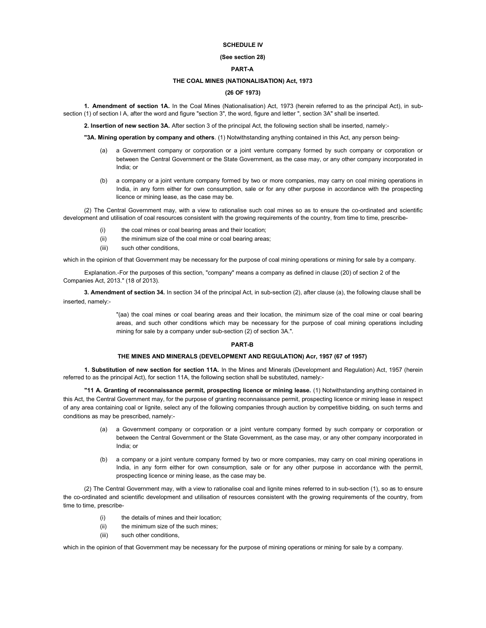# SCHEDULE IV

## (See section 28)

# PART-A

### THE COAL MINES (NATIONALISATION) Act, 1973

### (26 OF 1973)

1. Amendment of section 1A. In the Coal Mines (Nationalisation) Act, 1973 (herein referred to as the principal Act), in subsection (1) of section l A, after the word and figure "section 3", the word, figure and letter ", section 3A" shall be inserted.

2. Insertion of new section 3A. After section 3 of the principal Act, the following section shall be inserted, namely:-

"3A. Mining operation by company and others. (1) Notwithstanding anything contained in this Act, any person being-

- (a) a Government company or corporation or a joint venture company formed by such company or corporation or between the Central Government or the State Government, as the case may, or any other company incorporated in India; or
- (b) a company or a joint venture company formed by two or more companies, may carry on coal mining operations in India, in any form either for own consumption, sale or for any other purpose in accordance with the prospecting licence or mining lease, as the case may be.

(2) The Central Government may, with a view to rationalise such coal mines so as to ensure the co-ordinated and scientific development and utilisation of coal resources consistent with the growing requirements of the country, from time to time, prescribe-

- (i) the coal mines or coal bearing areas and their location;
- (ii) the minimum size of the coal mine or coal bearing areas;
- (iii) such other conditions

which in the opinion of that Government may be necessary for the purpose of coal mining operations or mining for sale by a company.

Explanation.-For the purposes of this section, "company" means a company as defined in clause (20) of section 2 of the Companies Act, 2013." (18 of 2013).

3. Amendment of section 34. In section 34 of the principal Act, in sub-section (2), after clause (a), the following clause shall be inserted, namely:-

> "(aa) the coal mines or coal bearing areas and their location, the minimum size of the coal mine or coal bearing areas, and such other conditions which may be necessary for the purpose of coal mining operations including mining for sale by a company under sub-section (2) of section 3A.".

#### PART-B

#### THE MINES AND MINERALS (DEVELOPMENT AND REGULATION) Acr, 1957 (67 of 1957)

1. Substitution of new section for section 11A. In the Mines and Minerals (Development and Regulation) Act, 1957 (herein referred to as the principal Act), for section 11A, the following section shall be substituted, namely:-

"11 A. Granting of reconnaissance permit, prospecting licence or mining lease. (1) Notwithstanding anything contained in this Act, the Central Government may, for the purpose of granting reconnaissance permit, prospecting licence or mining lease in respect of any area containing coal or lignite, select any of the following companies through auction by competitive bidding, on such terms and conditions as may be prescribed, namely:-

- (a) a Government company or corporation or a joint venture company formed by such company or corporation or between the Central Government or the State Government, as the case may, or any other company incorporated in India; or
- (b) a company or a joint venture company formed by two or more companies, may carry on coal mining operations in India, in any form either for own consumption, sale or for any other purpose in accordance with the permit, prospecting licence or mining lease, as the case may be.

(2) The Central Government may, with a view to rationalise coal and lignite mines referred to in sub-section (1), so as to ensure the co-ordinated and scientific development and utilisation of resources consistent with the growing requirements of the country, from time to time, prescribe-

- (i) the details of mines and their location;
- (ii) the minimum size of the such mines;
- (iii) such other conditions,

which in the opinion of that Government may be necessary for the purpose of mining operations or mining for sale by a company.